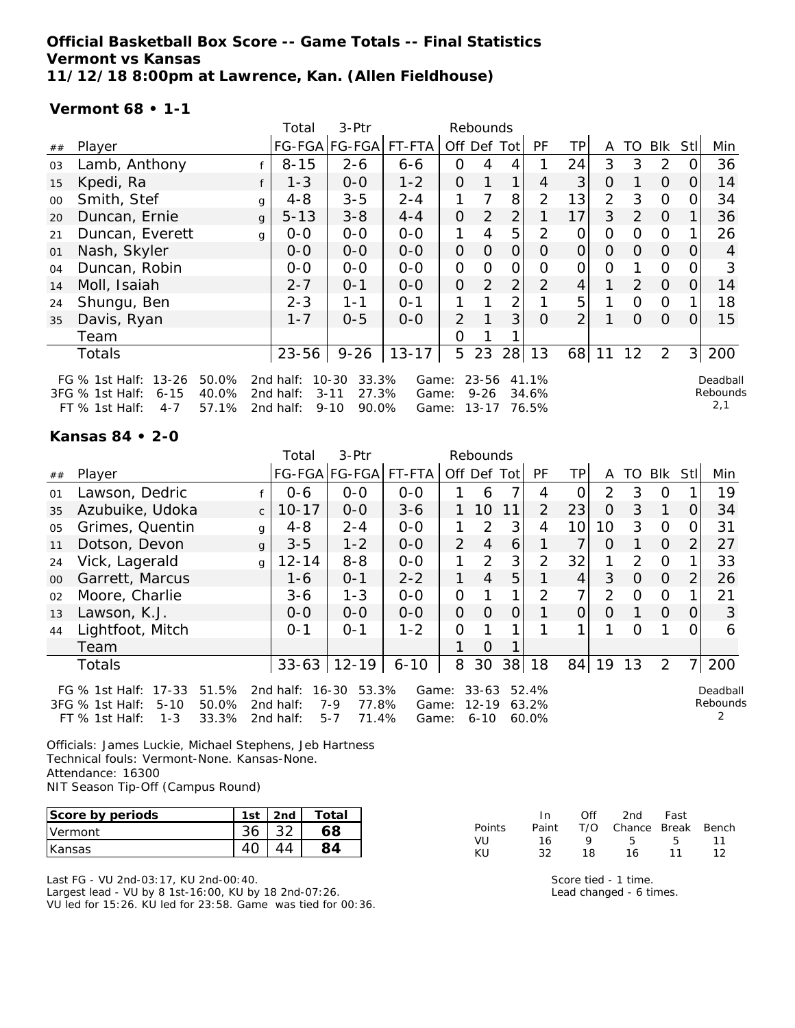## **Official Basketball Box Score -- Game Totals -- Final Statistics Vermont vs Kansas 11/12/18 8:00pm at Lawrence, Kan. (Allen Fieldhouse)**

#### **Vermont 68 • 1-1**

|        |                                                                                    |                         | Total                               | 3-Ptr                                                        |                         |                | Rebounds                           |                |                         |                |                |                |                |                |                             |
|--------|------------------------------------------------------------------------------------|-------------------------|-------------------------------------|--------------------------------------------------------------|-------------------------|----------------|------------------------------------|----------------|-------------------------|----------------|----------------|----------------|----------------|----------------|-----------------------------|
| $\#\#$ | Player                                                                             |                         |                                     | FG-FGA FG-FGA                                                | FT-FTA                  | Off Def Tot    |                                    |                | <b>PF</b>               | ΤP             | A              | TO.            | Blk            | Stl            | Min                         |
| 03     | Lamb, Anthony                                                                      |                         | $8 - 15$                            | $2 - 6$                                                      | $6 - 6$                 | 0              | 4                                  |                |                         | 24             | 3              | 3              | 2              |                | 36                          |
| 15     | Kpedi, Ra                                                                          |                         | $1 - 3$                             | $0-0$                                                        | $1 - 2$                 | $\overline{O}$ | $\mathbf{1}$                       | $\mathbf 1$    | 4                       | 3              | 0              |                | $\Omega$       | 0              | 14                          |
| $00\,$ | Smith, Stef                                                                        | g                       | $4 - 8$                             | $3 - 5$                                                      | $2 - 4$                 |                |                                    | 8              | $\overline{2}$          | 13             | 2              | 3              | $\overline{O}$ |                | 34                          |
| 20     | Duncan, Ernie                                                                      | $\mathbf{q}$            | $5 - 13$                            | $3 - 8$                                                      | $4 - 4$                 | $\Omega$       | 2                                  | $\overline{2}$ |                         | 17             | 3              | 2              | $\overline{0}$ |                | 36                          |
| 21     | Duncan, Everett                                                                    | g                       | $0-0$                               | $O-O$                                                        | $O-O$                   | 1              | 4                                  | 5              | 2                       | 0              | $\Omega$       | $\Omega$       | $\Omega$       |                | 26                          |
| 01     | Nash, Skyler                                                                       |                         | $0-0$                               | $0-0$                                                        | $O-O$                   | $\mathcal{O}$  | $\Omega$                           | $\Omega$       | 0                       | $\overline{O}$ | $\Omega$       | $\Omega$       | $\overline{O}$ | $\Omega$       | 4                           |
| 04     | Duncan, Robin                                                                      |                         | $0-0$                               | $O-O$                                                        | $O-O$                   | $\overline{O}$ | $\Omega$                           | $\mathcal{O}$  | O                       | 0              | $\overline{O}$ |                | $\mathbf{O}$   |                | 3                           |
| 14     | Moll, Isaiah                                                                       |                         | $2 - 7$                             | $0 - 1$                                                      | $0-0$                   | $\overline{O}$ | 2                                  | $\overline{2}$ | $\overline{2}$          | 4 <sup>1</sup> | 1              | 2              | $\Omega$       | $\Omega$       | 14                          |
| 24     | Shungu, Ben                                                                        |                         | $2 - 3$                             | $1 - 1$                                                      | $O - 1$                 |                |                                    | $\overline{2}$ |                         | 5              |                | $\overline{0}$ | $\Omega$       |                | 18                          |
| 35     | Davis, Ryan                                                                        |                         | $1 - 7$                             | $0 - 5$                                                      | $0 - 0$                 | 2              |                                    | 3              | $\Omega$                | $\overline{2}$ |                | $\Omega$       | $\Omega$       | $\Omega$       | 15                          |
|        | Team                                                                               |                         |                                     |                                                              |                         | Ω              |                                    |                |                         |                |                |                |                |                |                             |
|        | Totals                                                                             |                         | $23 - 56$                           | $9 - 26$                                                     | $13 - 17$               | 5              | 23                                 | 28             | 13                      | 68             | 11             | 12             | 2              | 3 <sup>1</sup> | 200                         |
|        | FG % 1st Half: 13-26<br>3FG % 1st Half:<br>$6 - 15$<br>$FT$ % 1st Half:<br>$4 - 7$ | 50.0%<br>40.0%<br>57.1% | 2nd half:<br>2nd half:<br>2nd half: | $10 - 30$<br>33.3%<br>27.3%<br>$3 - 11$<br>$9 - 10$<br>90.0% | Game:<br>Game:<br>Game: |                | $23 - 56$<br>$9 - 26$<br>$13 - 17$ |                | 41.1%<br>34.6%<br>76.5% |                |                |                |                |                | Deadball<br>Rebounds<br>2,1 |

### **Kansas 84 • 2-0**

|        |                                                                                                    |              | Total                               | 3-Ptr                                                  |                         |                | Rebounds                           |    |                         |                 |          |                  |          |            |                      |
|--------|----------------------------------------------------------------------------------------------------|--------------|-------------------------------------|--------------------------------------------------------|-------------------------|----------------|------------------------------------|----|-------------------------|-----------------|----------|------------------|----------|------------|----------------------|
| ##     | Player                                                                                             |              |                                     | FG-FGA FG-FGA                                          | FT-FTA                  |                | Off Def Tot                        |    | <b>PF</b>               | <b>TP</b>       | A        | TO               | Blk      | <b>StI</b> | Min                  |
| 01     | Lawson, Dedric                                                                                     |              | $0 - 6$                             | $0 - 0$                                                | $0 - 0$                 |                | 6                                  |    | 4                       | Ο               | 2        | 3                | O        |            | 19                   |
| 35     | Azubuike, Udoka                                                                                    | $\mathsf{C}$ | $10 - 17$                           | $0-0$                                                  | $3 - 6$                 |                | 10                                 | 11 | 2                       | 23              | $\Omega$ | 3                |          | 0          | 34                   |
| 05     | Grimes, Quentin                                                                                    | g            | $4 - 8$                             | $2 - 4$                                                | $0-0$                   |                | $\mathcal{P}$                      | 3  | 4                       | 10 <sup>1</sup> | 10       | 3                | $\Omega$ | 0          | 31                   |
| 11     | Dotson, Devon                                                                                      | g            | $3 - 5$                             | $1 - 2$                                                | $0-0$                   | $\overline{2}$ | $\overline{4}$                     | 6  |                         |                 | $\Omega$ |                  | $\Omega$ | 2          | 27                   |
| 24     | Vick, Lagerald                                                                                     | g            | $12 - 14$                           | $8 - 8$                                                | $0-0$                   | 1              | $\mathcal{P}$                      | 3  | $\overline{2}$          | 32              |          | $\mathcal{D}$    | $\Omega$ |            | 33                   |
| $00\,$ | Garrett, Marcus                                                                                    |              | $1 - 6$                             | $0 - 1$                                                | $2 - 2$                 | 1              | $\overline{4}$                     | 5  |                         | 4               | 3        | $\Omega$         | $\Omega$ | 2          | 26                   |
| 02     | Moore, Charlie                                                                                     |              | 3-6                                 | $1 - 3$                                                | $0 - 0$                 | $\mathcal{O}$  |                                    |    | 2                       |                 | 2        | 0                | O        |            | 21                   |
| 13     | Lawson, K.J.                                                                                       |              | $O-O$                               | $0 - 0$                                                | $0 - 0$                 | $\overline{O}$ | $\Omega$                           | 0  |                         | 0               | $\Omega$ |                  | $\Omega$ | $\Omega$   | 3                    |
| 44     | Lightfoot, Mitch                                                                                   |              | $0 - 1$                             | $0 - 1$                                                | $1 - 2$                 | $\Omega$       |                                    |    |                         |                 |          | $\left( \right)$ |          | 0          | 6                    |
|        | Team                                                                                               |              |                                     |                                                        |                         |                | $\Omega$                           |    |                         |                 |          |                  |          |            |                      |
|        | <b>Totals</b>                                                                                      |              |                                     | $33 - 63$   12-19                                      | $6 - 10$                | 8              | 30                                 |    | 38 18                   | 84              | 19       | 13               | 2        | 71         | 200                  |
|        | FG % 1st Half: 17-33<br>51.5%<br>50.0%<br>3FG % 1st Half:<br>$5 - 10$<br>FT % 1st Half:<br>$1 - 3$ | 33.3%        | 2nd half:<br>2nd half:<br>2nd half: | 53.3%<br>16-30<br>$7 - 9$<br>77.8%<br>71.4%<br>$5 - 7$ | Game:<br>Game:<br>Game: |                | $33 - 63$<br>$12 - 19$<br>$6 - 10$ |    | 52.4%<br>63.2%<br>60.0% |                 |          |                  |          |            | Deadball<br>Rebounds |

Officials: James Luckie, Michael Stephens, Jeb Hartness Technical fouls: Vermont-None. Kansas-None. Attendance: 16300 NIT Season Tip-Off (Campus Round)

| Score by periods | 1st | 2nd | Total |
|------------------|-----|-----|-------|
| Vermont          |     |     |       |
| Kansas           |     |     |       |

Last FG - VU 2nd-03:17, KU 2nd-00:40. Largest lead - VU by 8 1st-16:00, KU by 18 2nd-07:26. VU led for 15:26. KU led for 23:58. Game was tied for 00:36.

|        | In In | Off | 2nd                    | Fast |     |
|--------|-------|-----|------------------------|------|-----|
| Points | Paint |     | T/O Chance Break Bench |      |     |
| VU     | 16.   | o   | 5.                     | -5.  | 11  |
| KII    | 32    | 18  | 16.                    | 11   | 1 2 |

Score tied - 1 time. Lead changed - 6 times.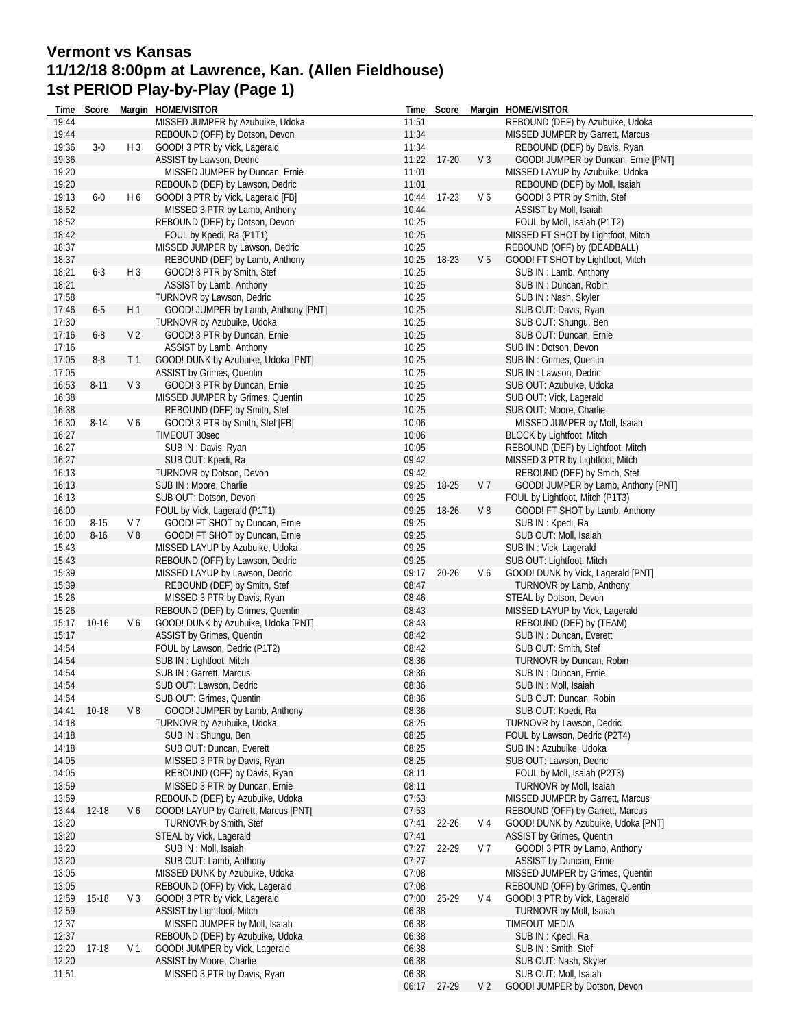# **Vermont vs Kansas 11/12/18 8:00pm at Lawrence, Kan. (Allen Fieldhouse) 1st PERIOD Play-by-Play (Page 1)**

| Time  | Score     |                | Margin HOME/VISITOR                  |       | Time Score  |                | Margin HOME/VISITOR                 |
|-------|-----------|----------------|--------------------------------------|-------|-------------|----------------|-------------------------------------|
| 19:44 |           |                | MISSED JUMPER by Azubuike, Udoka     | 11:51 |             |                | REBOUND (DEF) by Azubuike, Udoka    |
| 19:44 |           |                | REBOUND (OFF) by Dotson, Devon       | 11:34 |             |                | MISSED JUMPER by Garrett, Marcus    |
| 19:36 | $3-0$     | H 3            | GOOD! 3 PTR by Vick, Lagerald        | 11:34 |             |                | REBOUND (DEF) by Davis, Ryan        |
| 19:36 |           |                | ASSIST by Lawson, Dedric             | 11:22 | $17-20$     | V <sub>3</sub> | GOOD! JUMPER by Duncan, Ernie [PNT] |
| 19:20 |           |                | MISSED JUMPER by Duncan, Ernie       | 11:01 |             |                | MISSED LAYUP by Azubuike, Udoka     |
| 19:20 |           |                | REBOUND (DEF) by Lawson, Dedric      | 11:01 |             |                | REBOUND (DEF) by Moll, Isaiah       |
| 19:13 | $6-0$     | H 6            | GOOD! 3 PTR by Vick, Lagerald [FB]   | 10:44 | $17-23$     | V6             | GOOD! 3 PTR by Smith, Stef          |
| 18:52 |           |                | MISSED 3 PTR by Lamb, Anthony        | 10:44 |             |                | ASSIST by Moll, Isaiah              |
| 18:52 |           |                | REBOUND (DEF) by Dotson, Devon       | 10:25 |             |                | FOUL by Moll, Isaiah (P1T2)         |
| 18:42 |           |                | FOUL by Kpedi, Ra (P1T1)             | 10:25 |             |                | MISSED FT SHOT by Lightfoot, Mitch  |
| 18:37 |           |                | MISSED JUMPER by Lawson, Dedric      | 10:25 |             |                | REBOUND (OFF) by (DEADBALL)         |
| 18:37 |           |                | REBOUND (DEF) by Lamb, Anthony       | 10:25 | 18-23       | V <sub>5</sub> | GOOD! FT SHOT by Lightfoot, Mitch   |
| 18:21 | $6 - 3$   | $H_3$          | GOOD! 3 PTR by Smith, Stef           | 10:25 |             |                | SUB IN: Lamb, Anthony               |
| 18:21 |           |                | ASSIST by Lamb, Anthony              | 10:25 |             |                | SUB IN: Duncan, Robin               |
| 17:58 |           |                | TURNOVR by Lawson, Dedric            | 10:25 |             |                | SUB IN: Nash, Skyler                |
| 17:46 | $6 - 5$   | H 1            | GOOD! JUMPER by Lamb, Anthony [PNT]  | 10:25 |             |                | SUB OUT: Davis, Ryan                |
|       |           |                |                                      |       |             |                |                                     |
| 17:30 |           |                | TURNOVR by Azubuike, Udoka           | 10:25 |             |                | SUB OUT: Shungu, Ben                |
| 17:16 | $6 - 8$   | V <sub>2</sub> | GOOD! 3 PTR by Duncan, Ernie         | 10:25 |             |                | SUB OUT: Duncan, Ernie              |
| 17:16 |           |                | ASSIST by Lamb, Anthony              | 10:25 |             |                | SUB IN: Dotson, Devon               |
| 17:05 | $8-8$     | T <sub>1</sub> | GOOD! DUNK by Azubuike, Udoka [PNT]  | 10:25 |             |                | SUB IN: Grimes, Quentin             |
| 17:05 |           |                | ASSIST by Grimes, Quentin            | 10:25 |             |                | SUB IN: Lawson, Dedric              |
| 16:53 | 8-11      | V <sub>3</sub> | GOOD! 3 PTR by Duncan, Ernie         | 10:25 |             |                | SUB OUT: Azubuike, Udoka            |
| 16:38 |           |                | MISSED JUMPER by Grimes, Quentin     | 10:25 |             |                | SUB OUT: Vick, Lagerald             |
| 16:38 |           |                | REBOUND (DEF) by Smith, Stef         | 10:25 |             |                | SUB OUT: Moore, Charlie             |
| 16:30 | $8 - 14$  | V6             | GOOD! 3 PTR by Smith, Stef [FB]      | 10:06 |             |                | MISSED JUMPER by Moll, Isaiah       |
| 16:27 |           |                | TIMEOUT 30sec                        | 10:06 |             |                | <b>BLOCK by Lightfoot, Mitch</b>    |
| 16:27 |           |                | SUB IN: Davis, Ryan                  | 10:05 |             |                | REBOUND (DEF) by Lightfoot, Mitch   |
| 16:27 |           |                | SUB OUT: Kpedi, Ra                   | 09:42 |             |                | MISSED 3 PTR by Lightfoot, Mitch    |
| 16:13 |           |                | TURNOVR by Dotson, Devon             | 09:42 |             |                | REBOUND (DEF) by Smith, Stef        |
| 16:13 |           |                | SUB IN : Moore, Charlie              | 09:25 | 18-25       | V 7            | GOOD! JUMPER by Lamb, Anthony [PNT] |
| 16:13 |           |                | SUB OUT: Dotson, Devon               | 09:25 |             |                | FOUL by Lightfoot, Mitch (P1T3)     |
| 16:00 |           |                | FOUL by Vick, Lagerald (P1T1)        | 09:25 | 18-26       | $V_8$          | GOOD! FT SHOT by Lamb, Anthony      |
| 16:00 | $8 - 15$  | V <sub>7</sub> | GOOD! FT SHOT by Duncan, Ernie       | 09:25 |             |                | SUB IN: Kpedi, Ra                   |
| 16:00 | $8 - 16$  | V8             | GOOD! FT SHOT by Duncan, Ernie       | 09:25 |             |                | SUB OUT: Moll, Isaiah               |
| 15:43 |           |                | MISSED LAYUP by Azubuike, Udoka      | 09:25 |             |                | SUB IN: Vick, Lagerald              |
| 15:43 |           |                | REBOUND (OFF) by Lawson, Dedric      | 09:25 |             |                | SUB OUT: Lightfoot, Mitch           |
| 15:39 |           |                | MISSED LAYUP by Lawson, Dedric       | 09:17 | $20 - 26$   | V6             | GOOD! DUNK by Vick, Lagerald [PNT]  |
| 15:39 |           |                | REBOUND (DEF) by Smith, Stef         | 08:47 |             |                | TURNOVR by Lamb, Anthony            |
| 15:26 |           |                | MISSED 3 PTR by Davis, Ryan          | 08:46 |             |                | STEAL by Dotson, Devon              |
| 15:26 |           |                | REBOUND (DEF) by Grimes, Quentin     | 08:43 |             |                | MISSED LAYUP by Vick, Lagerald      |
| 15:17 | $10 - 16$ | V6             | GOOD! DUNK by Azubuike, Udoka [PNT]  | 08:43 |             |                | REBOUND (DEF) by (TEAM)             |
| 15:17 |           |                | <b>ASSIST by Grimes, Quentin</b>     | 08:42 |             |                | SUB IN : Duncan, Everett            |
| 14:54 |           |                | FOUL by Lawson, Dedric (P1T2)        | 08:42 |             |                | SUB OUT: Smith, Stef                |
| 14:54 |           |                | SUB IN: Lightfoot, Mitch             | 08:36 |             |                | TURNOVR by Duncan, Robin            |
| 14:54 |           |                | SUB IN: Garrett, Marcus              | 08:36 |             |                | SUB IN: Duncan, Ernie               |
| 14:54 |           |                | SUB OUT: Lawson, Dedric              | 08:36 |             |                | SUB IN : Moll, Isaiah               |
| 14:54 |           |                | SUB OUT: Grimes, Quentin             | 08:36 |             |                | SUB OUT: Duncan, Robin              |
| 14:41 | 10-18     | V8             | GOOD! JUMPER by Lamb, Anthony        | 08:36 |             |                | SUB OUT: Kpedi, Ra                  |
| 14:18 |           |                | TURNOVR by Azubuike, Udoka           | 08:25 |             |                | TURNOVR by Lawson, Dedric           |
| 14:18 |           |                | SUB IN: Shungu, Ben                  | 08:25 |             |                | FOUL by Lawson, Dedric (P2T4)       |
| 14:18 |           |                | SUB OUT: Duncan, Everett             | 08:25 |             |                | SUB IN: Azubuike, Udoka             |
| 14:05 |           |                | MISSED 3 PTR by Davis, Ryan          | 08:25 |             |                | SUB OUT: Lawson, Dedric             |
| 14:05 |           |                | REBOUND (OFF) by Davis, Ryan         | 08:11 |             |                | FOUL by Moll, Isaiah (P2T3)         |
| 13:59 |           |                | MISSED 3 PTR by Duncan, Ernie        | 08:11 |             |                | TURNOVR by Moll, Isaiah             |
| 13:59 |           |                | REBOUND (DEF) by Azubuike, Udoka     | 07:53 |             |                | MISSED JUMPER by Garrett, Marcus    |
| 13:44 | 12-18     | V6             | GOOD! LAYUP by Garrett, Marcus [PNT] | 07:53 |             |                | REBOUND (OFF) by Garrett, Marcus    |
| 13:20 |           |                | TURNOVR by Smith, Stef               | 07:41 | 22-26       | V 4            | GOOD! DUNK by Azubuike, Udoka [PNT] |
| 13:20 |           |                | STEAL by Vick, Lagerald              | 07:41 |             |                | ASSIST by Grimes, Quentin           |
| 13:20 |           |                | SUB IN: Moll, Isaiah                 | 07:27 | 22-29       | V 7            | GOOD! 3 PTR by Lamb, Anthony        |
| 13:20 |           |                | SUB OUT: Lamb, Anthony               | 07:27 |             |                | ASSIST by Duncan, Ernie             |
| 13:05 |           |                | MISSED DUNK by Azubuike, Udoka       | 07:08 |             |                | MISSED JUMPER by Grimes, Quentin    |
| 13:05 |           |                | REBOUND (OFF) by Vick, Lagerald      | 07:08 |             |                | REBOUND (OFF) by Grimes, Quentin    |
| 12:59 | 15-18     | $V_3$          | GOOD! 3 PTR by Vick, Lagerald        | 07:00 | 25-29       | V <sub>4</sub> | GOOD! 3 PTR by Vick, Lagerald       |
| 12:59 |           |                | ASSIST by Lightfoot, Mitch           | 06:38 |             |                | TURNOVR by Moll, Isaiah             |
| 12:37 |           |                | MISSED JUMPER by Moll, Isaiah        | 06:38 |             |                | TIMEOUT MEDIA                       |
| 12:37 |           |                | REBOUND (DEF) by Azubuike, Udoka     | 06:38 |             |                | SUB IN: Kpedi, Ra                   |
| 12:20 | 17-18     | V 1            | GOOD! JUMPER by Vick, Lagerald       | 06:38 |             |                | SUB IN: Smith, Stef                 |
| 12:20 |           |                | ASSIST by Moore, Charlie             | 06:38 |             |                | SUB OUT: Nash, Skyler               |
| 11:51 |           |                | MISSED 3 PTR by Davis, Ryan          | 06:38 |             |                | SUB OUT: Moll, Isaiah               |
|       |           |                |                                      |       | 06:17 27-29 | V 2            | GOOD! JUMPER by Dotson, Devon       |
|       |           |                |                                      |       |             |                |                                     |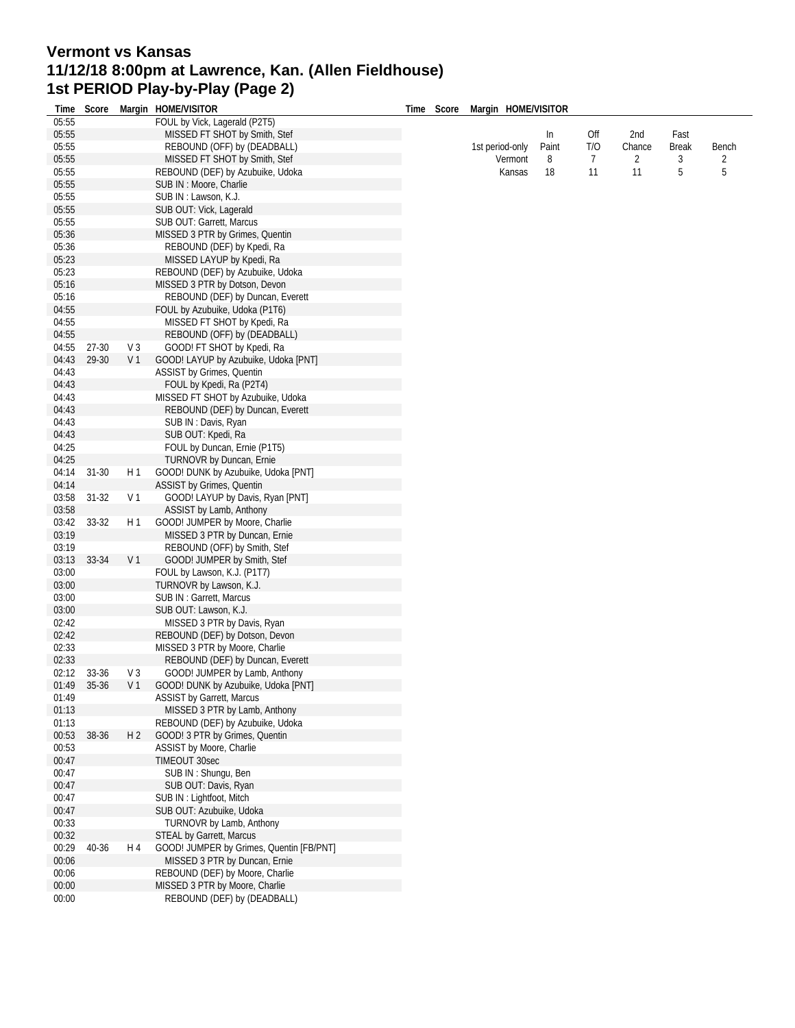# **Vermont vs Kansas 11/12/18 8:00pm at Lawrence, Kan. (Allen Fieldhouse) 1st PERIOD Play-by-Play (Page 2)**

| 05:55<br>FOUL by Vick, Lagerald (P2T5)<br>05:55<br>MISSED FT SHOT by Smith, Stef<br>Fast<br>In<br>Off<br>2nd<br>05:55<br>REBOUND (OFF) by (DEADBALL)<br>T/O<br>Bench<br>1st period-only<br>Paint<br>Chance<br>Break<br>05:55<br>Vermont<br>MISSED FT SHOT by Smith, Stef<br>8<br>7<br>2<br>3<br>2<br>05:55<br>5<br>5<br>REBOUND (DEF) by Azubuike, Udoka<br>18<br>11<br>11<br>Kansas<br>05:55<br>SUB IN : Moore, Charlie<br>05:55<br>SUB IN: Lawson, K.J.<br>05:55<br>SUB OUT: Vick, Lagerald<br>05:55<br>SUB OUT: Garrett, Marcus<br>05:36<br>MISSED 3 PTR by Grimes, Quentin<br>05:36<br>REBOUND (DEF) by Kpedi, Ra<br>05:23<br>MISSED LAYUP by Kpedi, Ra<br>05:23<br>REBOUND (DEF) by Azubuike, Udoka<br>05:16<br>MISSED 3 PTR by Dotson, Devon<br>05:16<br>REBOUND (DEF) by Duncan, Everett<br>04:55<br>FOUL by Azubuike, Udoka (P1T6)<br>04:55<br>MISSED FT SHOT by Kpedi, Ra<br>04:55<br>REBOUND (OFF) by (DEADBALL)<br>04:55<br>27-30<br>$V_3$<br>GOOD! FT SHOT by Kpedi, Ra<br>29-30<br>V <sub>1</sub><br>04:43<br>GOOD! LAYUP by Azubuike, Udoka [PNT]<br>04:43<br>ASSIST by Grimes, Quentin<br>04:43<br>FOUL by Kpedi, Ra (P2T4)<br>04:43<br>MISSED FT SHOT by Azubuike, Udoka<br>04:43<br>REBOUND (DEF) by Duncan, Everett<br>04:43<br>SUB IN: Davis, Ryan<br>04:43<br>SUB OUT: Kpedi, Ra<br>04:25<br>FOUL by Duncan, Ernie (P1T5)<br>04:25<br>TURNOVR by Duncan, Ernie<br>04:14<br>GOOD! DUNK by Azubuike, Udoka [PNT]<br>31-30<br>H 1<br>04:14<br>ASSIST by Grimes, Quentin<br>V <sub>1</sub><br>03:58<br>$31-32$<br>GOOD! LAYUP by Davis, Ryan [PNT]<br>03:58<br>ASSIST by Lamb, Anthony<br>03:42<br>33-32<br>H 1<br>GOOD! JUMPER by Moore, Charlie<br>03:19<br>MISSED 3 PTR by Duncan, Ernie<br>03:19<br>REBOUND (OFF) by Smith, Stef<br>33-34<br>V <sub>1</sub><br>03:13<br>GOOD! JUMPER by Smith, Stef<br>03:00<br>FOUL by Lawson, K.J. (P1T7)<br>03:00<br>TURNOVR by Lawson, K.J.<br>03:00<br>SUB IN: Garrett, Marcus<br>03:00<br>SUB OUT: Lawson, K.J.<br>02:42<br>MISSED 3 PTR by Davis, Ryan<br>02:42<br>REBOUND (DEF) by Dotson, Devon<br>02:33<br>MISSED 3 PTR by Moore, Charlie<br>02:33<br>REBOUND (DEF) by Duncan, Everett<br>02:12<br>33-36<br>GOOD! JUMPER by Lamb, Anthony<br>V3<br>01:49<br>35-36<br>V 1 GOOD! DUNK by Azubuike, Udoka [PNT]<br><b>ASSIST by Garrett, Marcus</b><br>01:49<br>MISSED 3 PTR by Lamb, Anthony<br>01:13<br>01:13<br>REBOUND (DEF) by Azubuike, Udoka<br>00:53<br>38-36<br>H <sub>2</sub><br>GOOD! 3 PTR by Grimes, Quentin<br>00:53<br>ASSIST by Moore, Charlie<br>TIMEOUT 30sec<br>00:47<br>SUB IN: Shungu, Ben<br>00:47<br>00:47<br>SUB OUT: Davis, Ryan<br>00:47<br>SUB IN: Lightfoot, Mitch<br>00:47<br>SUB OUT: Azubuike, Udoka<br>00:33<br>TURNOVR by Lamb, Anthony<br>00:32<br><b>STEAL by Garrett, Marcus</b><br>00:29<br>40-36<br>GOOD! JUMPER by Grimes, Quentin [FB/PNT]<br>H 4<br>00:06<br>MISSED 3 PTR by Duncan, Ernie<br>00:06<br>REBOUND (DEF) by Moore, Charlie<br>MISSED 3 PTR by Moore, Charlie<br>00:00 |       |  | Time Score Margin HOME/VISITOR |  | Time Score Margin HOME/VISITOR |  |  |  |
|---------------------------------------------------------------------------------------------------------------------------------------------------------------------------------------------------------------------------------------------------------------------------------------------------------------------------------------------------------------------------------------------------------------------------------------------------------------------------------------------------------------------------------------------------------------------------------------------------------------------------------------------------------------------------------------------------------------------------------------------------------------------------------------------------------------------------------------------------------------------------------------------------------------------------------------------------------------------------------------------------------------------------------------------------------------------------------------------------------------------------------------------------------------------------------------------------------------------------------------------------------------------------------------------------------------------------------------------------------------------------------------------------------------------------------------------------------------------------------------------------------------------------------------------------------------------------------------------------------------------------------------------------------------------------------------------------------------------------------------------------------------------------------------------------------------------------------------------------------------------------------------------------------------------------------------------------------------------------------------------------------------------------------------------------------------------------------------------------------------------------------------------------------------------------------------------------------------------------------------------------------------------------------------------------------------------------------------------------------------------------------------------------------------------------------------------------------------------------------------------------------------------------------------------------------------------------------------------------------------------------------------------------------------------------------------------------------------------------------------------------------------------------------------------------------------------------------------------------------------------------------------------------------------------------------------------------------------------------------------|-------|--|--------------------------------|--|--------------------------------|--|--|--|
|                                                                                                                                                                                                                                                                                                                                                                                                                                                                                                                                                                                                                                                                                                                                                                                                                                                                                                                                                                                                                                                                                                                                                                                                                                                                                                                                                                                                                                                                                                                                                                                                                                                                                                                                                                                                                                                                                                                                                                                                                                                                                                                                                                                                                                                                                                                                                                                                                                                                                                                                                                                                                                                                                                                                                                                                                                                                                                                                                                                       |       |  |                                |  |                                |  |  |  |
|                                                                                                                                                                                                                                                                                                                                                                                                                                                                                                                                                                                                                                                                                                                                                                                                                                                                                                                                                                                                                                                                                                                                                                                                                                                                                                                                                                                                                                                                                                                                                                                                                                                                                                                                                                                                                                                                                                                                                                                                                                                                                                                                                                                                                                                                                                                                                                                                                                                                                                                                                                                                                                                                                                                                                                                                                                                                                                                                                                                       |       |  |                                |  |                                |  |  |  |
|                                                                                                                                                                                                                                                                                                                                                                                                                                                                                                                                                                                                                                                                                                                                                                                                                                                                                                                                                                                                                                                                                                                                                                                                                                                                                                                                                                                                                                                                                                                                                                                                                                                                                                                                                                                                                                                                                                                                                                                                                                                                                                                                                                                                                                                                                                                                                                                                                                                                                                                                                                                                                                                                                                                                                                                                                                                                                                                                                                                       |       |  |                                |  |                                |  |  |  |
|                                                                                                                                                                                                                                                                                                                                                                                                                                                                                                                                                                                                                                                                                                                                                                                                                                                                                                                                                                                                                                                                                                                                                                                                                                                                                                                                                                                                                                                                                                                                                                                                                                                                                                                                                                                                                                                                                                                                                                                                                                                                                                                                                                                                                                                                                                                                                                                                                                                                                                                                                                                                                                                                                                                                                                                                                                                                                                                                                                                       |       |  |                                |  |                                |  |  |  |
|                                                                                                                                                                                                                                                                                                                                                                                                                                                                                                                                                                                                                                                                                                                                                                                                                                                                                                                                                                                                                                                                                                                                                                                                                                                                                                                                                                                                                                                                                                                                                                                                                                                                                                                                                                                                                                                                                                                                                                                                                                                                                                                                                                                                                                                                                                                                                                                                                                                                                                                                                                                                                                                                                                                                                                                                                                                                                                                                                                                       |       |  |                                |  |                                |  |  |  |
|                                                                                                                                                                                                                                                                                                                                                                                                                                                                                                                                                                                                                                                                                                                                                                                                                                                                                                                                                                                                                                                                                                                                                                                                                                                                                                                                                                                                                                                                                                                                                                                                                                                                                                                                                                                                                                                                                                                                                                                                                                                                                                                                                                                                                                                                                                                                                                                                                                                                                                                                                                                                                                                                                                                                                                                                                                                                                                                                                                                       |       |  |                                |  |                                |  |  |  |
|                                                                                                                                                                                                                                                                                                                                                                                                                                                                                                                                                                                                                                                                                                                                                                                                                                                                                                                                                                                                                                                                                                                                                                                                                                                                                                                                                                                                                                                                                                                                                                                                                                                                                                                                                                                                                                                                                                                                                                                                                                                                                                                                                                                                                                                                                                                                                                                                                                                                                                                                                                                                                                                                                                                                                                                                                                                                                                                                                                                       |       |  |                                |  |                                |  |  |  |
|                                                                                                                                                                                                                                                                                                                                                                                                                                                                                                                                                                                                                                                                                                                                                                                                                                                                                                                                                                                                                                                                                                                                                                                                                                                                                                                                                                                                                                                                                                                                                                                                                                                                                                                                                                                                                                                                                                                                                                                                                                                                                                                                                                                                                                                                                                                                                                                                                                                                                                                                                                                                                                                                                                                                                                                                                                                                                                                                                                                       |       |  |                                |  |                                |  |  |  |
|                                                                                                                                                                                                                                                                                                                                                                                                                                                                                                                                                                                                                                                                                                                                                                                                                                                                                                                                                                                                                                                                                                                                                                                                                                                                                                                                                                                                                                                                                                                                                                                                                                                                                                                                                                                                                                                                                                                                                                                                                                                                                                                                                                                                                                                                                                                                                                                                                                                                                                                                                                                                                                                                                                                                                                                                                                                                                                                                                                                       |       |  |                                |  |                                |  |  |  |
|                                                                                                                                                                                                                                                                                                                                                                                                                                                                                                                                                                                                                                                                                                                                                                                                                                                                                                                                                                                                                                                                                                                                                                                                                                                                                                                                                                                                                                                                                                                                                                                                                                                                                                                                                                                                                                                                                                                                                                                                                                                                                                                                                                                                                                                                                                                                                                                                                                                                                                                                                                                                                                                                                                                                                                                                                                                                                                                                                                                       |       |  |                                |  |                                |  |  |  |
|                                                                                                                                                                                                                                                                                                                                                                                                                                                                                                                                                                                                                                                                                                                                                                                                                                                                                                                                                                                                                                                                                                                                                                                                                                                                                                                                                                                                                                                                                                                                                                                                                                                                                                                                                                                                                                                                                                                                                                                                                                                                                                                                                                                                                                                                                                                                                                                                                                                                                                                                                                                                                                                                                                                                                                                                                                                                                                                                                                                       |       |  |                                |  |                                |  |  |  |
|                                                                                                                                                                                                                                                                                                                                                                                                                                                                                                                                                                                                                                                                                                                                                                                                                                                                                                                                                                                                                                                                                                                                                                                                                                                                                                                                                                                                                                                                                                                                                                                                                                                                                                                                                                                                                                                                                                                                                                                                                                                                                                                                                                                                                                                                                                                                                                                                                                                                                                                                                                                                                                                                                                                                                                                                                                                                                                                                                                                       |       |  |                                |  |                                |  |  |  |
|                                                                                                                                                                                                                                                                                                                                                                                                                                                                                                                                                                                                                                                                                                                                                                                                                                                                                                                                                                                                                                                                                                                                                                                                                                                                                                                                                                                                                                                                                                                                                                                                                                                                                                                                                                                                                                                                                                                                                                                                                                                                                                                                                                                                                                                                                                                                                                                                                                                                                                                                                                                                                                                                                                                                                                                                                                                                                                                                                                                       |       |  |                                |  |                                |  |  |  |
|                                                                                                                                                                                                                                                                                                                                                                                                                                                                                                                                                                                                                                                                                                                                                                                                                                                                                                                                                                                                                                                                                                                                                                                                                                                                                                                                                                                                                                                                                                                                                                                                                                                                                                                                                                                                                                                                                                                                                                                                                                                                                                                                                                                                                                                                                                                                                                                                                                                                                                                                                                                                                                                                                                                                                                                                                                                                                                                                                                                       |       |  |                                |  |                                |  |  |  |
|                                                                                                                                                                                                                                                                                                                                                                                                                                                                                                                                                                                                                                                                                                                                                                                                                                                                                                                                                                                                                                                                                                                                                                                                                                                                                                                                                                                                                                                                                                                                                                                                                                                                                                                                                                                                                                                                                                                                                                                                                                                                                                                                                                                                                                                                                                                                                                                                                                                                                                                                                                                                                                                                                                                                                                                                                                                                                                                                                                                       |       |  |                                |  |                                |  |  |  |
|                                                                                                                                                                                                                                                                                                                                                                                                                                                                                                                                                                                                                                                                                                                                                                                                                                                                                                                                                                                                                                                                                                                                                                                                                                                                                                                                                                                                                                                                                                                                                                                                                                                                                                                                                                                                                                                                                                                                                                                                                                                                                                                                                                                                                                                                                                                                                                                                                                                                                                                                                                                                                                                                                                                                                                                                                                                                                                                                                                                       |       |  |                                |  |                                |  |  |  |
|                                                                                                                                                                                                                                                                                                                                                                                                                                                                                                                                                                                                                                                                                                                                                                                                                                                                                                                                                                                                                                                                                                                                                                                                                                                                                                                                                                                                                                                                                                                                                                                                                                                                                                                                                                                                                                                                                                                                                                                                                                                                                                                                                                                                                                                                                                                                                                                                                                                                                                                                                                                                                                                                                                                                                                                                                                                                                                                                                                                       |       |  |                                |  |                                |  |  |  |
|                                                                                                                                                                                                                                                                                                                                                                                                                                                                                                                                                                                                                                                                                                                                                                                                                                                                                                                                                                                                                                                                                                                                                                                                                                                                                                                                                                                                                                                                                                                                                                                                                                                                                                                                                                                                                                                                                                                                                                                                                                                                                                                                                                                                                                                                                                                                                                                                                                                                                                                                                                                                                                                                                                                                                                                                                                                                                                                                                                                       |       |  |                                |  |                                |  |  |  |
|                                                                                                                                                                                                                                                                                                                                                                                                                                                                                                                                                                                                                                                                                                                                                                                                                                                                                                                                                                                                                                                                                                                                                                                                                                                                                                                                                                                                                                                                                                                                                                                                                                                                                                                                                                                                                                                                                                                                                                                                                                                                                                                                                                                                                                                                                                                                                                                                                                                                                                                                                                                                                                                                                                                                                                                                                                                                                                                                                                                       |       |  |                                |  |                                |  |  |  |
|                                                                                                                                                                                                                                                                                                                                                                                                                                                                                                                                                                                                                                                                                                                                                                                                                                                                                                                                                                                                                                                                                                                                                                                                                                                                                                                                                                                                                                                                                                                                                                                                                                                                                                                                                                                                                                                                                                                                                                                                                                                                                                                                                                                                                                                                                                                                                                                                                                                                                                                                                                                                                                                                                                                                                                                                                                                                                                                                                                                       |       |  |                                |  |                                |  |  |  |
|                                                                                                                                                                                                                                                                                                                                                                                                                                                                                                                                                                                                                                                                                                                                                                                                                                                                                                                                                                                                                                                                                                                                                                                                                                                                                                                                                                                                                                                                                                                                                                                                                                                                                                                                                                                                                                                                                                                                                                                                                                                                                                                                                                                                                                                                                                                                                                                                                                                                                                                                                                                                                                                                                                                                                                                                                                                                                                                                                                                       |       |  |                                |  |                                |  |  |  |
|                                                                                                                                                                                                                                                                                                                                                                                                                                                                                                                                                                                                                                                                                                                                                                                                                                                                                                                                                                                                                                                                                                                                                                                                                                                                                                                                                                                                                                                                                                                                                                                                                                                                                                                                                                                                                                                                                                                                                                                                                                                                                                                                                                                                                                                                                                                                                                                                                                                                                                                                                                                                                                                                                                                                                                                                                                                                                                                                                                                       |       |  |                                |  |                                |  |  |  |
|                                                                                                                                                                                                                                                                                                                                                                                                                                                                                                                                                                                                                                                                                                                                                                                                                                                                                                                                                                                                                                                                                                                                                                                                                                                                                                                                                                                                                                                                                                                                                                                                                                                                                                                                                                                                                                                                                                                                                                                                                                                                                                                                                                                                                                                                                                                                                                                                                                                                                                                                                                                                                                                                                                                                                                                                                                                                                                                                                                                       |       |  |                                |  |                                |  |  |  |
|                                                                                                                                                                                                                                                                                                                                                                                                                                                                                                                                                                                                                                                                                                                                                                                                                                                                                                                                                                                                                                                                                                                                                                                                                                                                                                                                                                                                                                                                                                                                                                                                                                                                                                                                                                                                                                                                                                                                                                                                                                                                                                                                                                                                                                                                                                                                                                                                                                                                                                                                                                                                                                                                                                                                                                                                                                                                                                                                                                                       |       |  |                                |  |                                |  |  |  |
|                                                                                                                                                                                                                                                                                                                                                                                                                                                                                                                                                                                                                                                                                                                                                                                                                                                                                                                                                                                                                                                                                                                                                                                                                                                                                                                                                                                                                                                                                                                                                                                                                                                                                                                                                                                                                                                                                                                                                                                                                                                                                                                                                                                                                                                                                                                                                                                                                                                                                                                                                                                                                                                                                                                                                                                                                                                                                                                                                                                       |       |  |                                |  |                                |  |  |  |
|                                                                                                                                                                                                                                                                                                                                                                                                                                                                                                                                                                                                                                                                                                                                                                                                                                                                                                                                                                                                                                                                                                                                                                                                                                                                                                                                                                                                                                                                                                                                                                                                                                                                                                                                                                                                                                                                                                                                                                                                                                                                                                                                                                                                                                                                                                                                                                                                                                                                                                                                                                                                                                                                                                                                                                                                                                                                                                                                                                                       |       |  |                                |  |                                |  |  |  |
|                                                                                                                                                                                                                                                                                                                                                                                                                                                                                                                                                                                                                                                                                                                                                                                                                                                                                                                                                                                                                                                                                                                                                                                                                                                                                                                                                                                                                                                                                                                                                                                                                                                                                                                                                                                                                                                                                                                                                                                                                                                                                                                                                                                                                                                                                                                                                                                                                                                                                                                                                                                                                                                                                                                                                                                                                                                                                                                                                                                       |       |  |                                |  |                                |  |  |  |
|                                                                                                                                                                                                                                                                                                                                                                                                                                                                                                                                                                                                                                                                                                                                                                                                                                                                                                                                                                                                                                                                                                                                                                                                                                                                                                                                                                                                                                                                                                                                                                                                                                                                                                                                                                                                                                                                                                                                                                                                                                                                                                                                                                                                                                                                                                                                                                                                                                                                                                                                                                                                                                                                                                                                                                                                                                                                                                                                                                                       |       |  |                                |  |                                |  |  |  |
|                                                                                                                                                                                                                                                                                                                                                                                                                                                                                                                                                                                                                                                                                                                                                                                                                                                                                                                                                                                                                                                                                                                                                                                                                                                                                                                                                                                                                                                                                                                                                                                                                                                                                                                                                                                                                                                                                                                                                                                                                                                                                                                                                                                                                                                                                                                                                                                                                                                                                                                                                                                                                                                                                                                                                                                                                                                                                                                                                                                       |       |  |                                |  |                                |  |  |  |
|                                                                                                                                                                                                                                                                                                                                                                                                                                                                                                                                                                                                                                                                                                                                                                                                                                                                                                                                                                                                                                                                                                                                                                                                                                                                                                                                                                                                                                                                                                                                                                                                                                                                                                                                                                                                                                                                                                                                                                                                                                                                                                                                                                                                                                                                                                                                                                                                                                                                                                                                                                                                                                                                                                                                                                                                                                                                                                                                                                                       |       |  |                                |  |                                |  |  |  |
|                                                                                                                                                                                                                                                                                                                                                                                                                                                                                                                                                                                                                                                                                                                                                                                                                                                                                                                                                                                                                                                                                                                                                                                                                                                                                                                                                                                                                                                                                                                                                                                                                                                                                                                                                                                                                                                                                                                                                                                                                                                                                                                                                                                                                                                                                                                                                                                                                                                                                                                                                                                                                                                                                                                                                                                                                                                                                                                                                                                       |       |  |                                |  |                                |  |  |  |
|                                                                                                                                                                                                                                                                                                                                                                                                                                                                                                                                                                                                                                                                                                                                                                                                                                                                                                                                                                                                                                                                                                                                                                                                                                                                                                                                                                                                                                                                                                                                                                                                                                                                                                                                                                                                                                                                                                                                                                                                                                                                                                                                                                                                                                                                                                                                                                                                                                                                                                                                                                                                                                                                                                                                                                                                                                                                                                                                                                                       |       |  |                                |  |                                |  |  |  |
|                                                                                                                                                                                                                                                                                                                                                                                                                                                                                                                                                                                                                                                                                                                                                                                                                                                                                                                                                                                                                                                                                                                                                                                                                                                                                                                                                                                                                                                                                                                                                                                                                                                                                                                                                                                                                                                                                                                                                                                                                                                                                                                                                                                                                                                                                                                                                                                                                                                                                                                                                                                                                                                                                                                                                                                                                                                                                                                                                                                       |       |  |                                |  |                                |  |  |  |
|                                                                                                                                                                                                                                                                                                                                                                                                                                                                                                                                                                                                                                                                                                                                                                                                                                                                                                                                                                                                                                                                                                                                                                                                                                                                                                                                                                                                                                                                                                                                                                                                                                                                                                                                                                                                                                                                                                                                                                                                                                                                                                                                                                                                                                                                                                                                                                                                                                                                                                                                                                                                                                                                                                                                                                                                                                                                                                                                                                                       |       |  |                                |  |                                |  |  |  |
|                                                                                                                                                                                                                                                                                                                                                                                                                                                                                                                                                                                                                                                                                                                                                                                                                                                                                                                                                                                                                                                                                                                                                                                                                                                                                                                                                                                                                                                                                                                                                                                                                                                                                                                                                                                                                                                                                                                                                                                                                                                                                                                                                                                                                                                                                                                                                                                                                                                                                                                                                                                                                                                                                                                                                                                                                                                                                                                                                                                       |       |  |                                |  |                                |  |  |  |
|                                                                                                                                                                                                                                                                                                                                                                                                                                                                                                                                                                                                                                                                                                                                                                                                                                                                                                                                                                                                                                                                                                                                                                                                                                                                                                                                                                                                                                                                                                                                                                                                                                                                                                                                                                                                                                                                                                                                                                                                                                                                                                                                                                                                                                                                                                                                                                                                                                                                                                                                                                                                                                                                                                                                                                                                                                                                                                                                                                                       |       |  |                                |  |                                |  |  |  |
|                                                                                                                                                                                                                                                                                                                                                                                                                                                                                                                                                                                                                                                                                                                                                                                                                                                                                                                                                                                                                                                                                                                                                                                                                                                                                                                                                                                                                                                                                                                                                                                                                                                                                                                                                                                                                                                                                                                                                                                                                                                                                                                                                                                                                                                                                                                                                                                                                                                                                                                                                                                                                                                                                                                                                                                                                                                                                                                                                                                       |       |  |                                |  |                                |  |  |  |
|                                                                                                                                                                                                                                                                                                                                                                                                                                                                                                                                                                                                                                                                                                                                                                                                                                                                                                                                                                                                                                                                                                                                                                                                                                                                                                                                                                                                                                                                                                                                                                                                                                                                                                                                                                                                                                                                                                                                                                                                                                                                                                                                                                                                                                                                                                                                                                                                                                                                                                                                                                                                                                                                                                                                                                                                                                                                                                                                                                                       |       |  |                                |  |                                |  |  |  |
|                                                                                                                                                                                                                                                                                                                                                                                                                                                                                                                                                                                                                                                                                                                                                                                                                                                                                                                                                                                                                                                                                                                                                                                                                                                                                                                                                                                                                                                                                                                                                                                                                                                                                                                                                                                                                                                                                                                                                                                                                                                                                                                                                                                                                                                                                                                                                                                                                                                                                                                                                                                                                                                                                                                                                                                                                                                                                                                                                                                       |       |  |                                |  |                                |  |  |  |
|                                                                                                                                                                                                                                                                                                                                                                                                                                                                                                                                                                                                                                                                                                                                                                                                                                                                                                                                                                                                                                                                                                                                                                                                                                                                                                                                                                                                                                                                                                                                                                                                                                                                                                                                                                                                                                                                                                                                                                                                                                                                                                                                                                                                                                                                                                                                                                                                                                                                                                                                                                                                                                                                                                                                                                                                                                                                                                                                                                                       |       |  |                                |  |                                |  |  |  |
|                                                                                                                                                                                                                                                                                                                                                                                                                                                                                                                                                                                                                                                                                                                                                                                                                                                                                                                                                                                                                                                                                                                                                                                                                                                                                                                                                                                                                                                                                                                                                                                                                                                                                                                                                                                                                                                                                                                                                                                                                                                                                                                                                                                                                                                                                                                                                                                                                                                                                                                                                                                                                                                                                                                                                                                                                                                                                                                                                                                       |       |  |                                |  |                                |  |  |  |
|                                                                                                                                                                                                                                                                                                                                                                                                                                                                                                                                                                                                                                                                                                                                                                                                                                                                                                                                                                                                                                                                                                                                                                                                                                                                                                                                                                                                                                                                                                                                                                                                                                                                                                                                                                                                                                                                                                                                                                                                                                                                                                                                                                                                                                                                                                                                                                                                                                                                                                                                                                                                                                                                                                                                                                                                                                                                                                                                                                                       |       |  |                                |  |                                |  |  |  |
|                                                                                                                                                                                                                                                                                                                                                                                                                                                                                                                                                                                                                                                                                                                                                                                                                                                                                                                                                                                                                                                                                                                                                                                                                                                                                                                                                                                                                                                                                                                                                                                                                                                                                                                                                                                                                                                                                                                                                                                                                                                                                                                                                                                                                                                                                                                                                                                                                                                                                                                                                                                                                                                                                                                                                                                                                                                                                                                                                                                       |       |  |                                |  |                                |  |  |  |
|                                                                                                                                                                                                                                                                                                                                                                                                                                                                                                                                                                                                                                                                                                                                                                                                                                                                                                                                                                                                                                                                                                                                                                                                                                                                                                                                                                                                                                                                                                                                                                                                                                                                                                                                                                                                                                                                                                                                                                                                                                                                                                                                                                                                                                                                                                                                                                                                                                                                                                                                                                                                                                                                                                                                                                                                                                                                                                                                                                                       |       |  |                                |  |                                |  |  |  |
|                                                                                                                                                                                                                                                                                                                                                                                                                                                                                                                                                                                                                                                                                                                                                                                                                                                                                                                                                                                                                                                                                                                                                                                                                                                                                                                                                                                                                                                                                                                                                                                                                                                                                                                                                                                                                                                                                                                                                                                                                                                                                                                                                                                                                                                                                                                                                                                                                                                                                                                                                                                                                                                                                                                                                                                                                                                                                                                                                                                       |       |  |                                |  |                                |  |  |  |
|                                                                                                                                                                                                                                                                                                                                                                                                                                                                                                                                                                                                                                                                                                                                                                                                                                                                                                                                                                                                                                                                                                                                                                                                                                                                                                                                                                                                                                                                                                                                                                                                                                                                                                                                                                                                                                                                                                                                                                                                                                                                                                                                                                                                                                                                                                                                                                                                                                                                                                                                                                                                                                                                                                                                                                                                                                                                                                                                                                                       |       |  |                                |  |                                |  |  |  |
|                                                                                                                                                                                                                                                                                                                                                                                                                                                                                                                                                                                                                                                                                                                                                                                                                                                                                                                                                                                                                                                                                                                                                                                                                                                                                                                                                                                                                                                                                                                                                                                                                                                                                                                                                                                                                                                                                                                                                                                                                                                                                                                                                                                                                                                                                                                                                                                                                                                                                                                                                                                                                                                                                                                                                                                                                                                                                                                                                                                       |       |  |                                |  |                                |  |  |  |
|                                                                                                                                                                                                                                                                                                                                                                                                                                                                                                                                                                                                                                                                                                                                                                                                                                                                                                                                                                                                                                                                                                                                                                                                                                                                                                                                                                                                                                                                                                                                                                                                                                                                                                                                                                                                                                                                                                                                                                                                                                                                                                                                                                                                                                                                                                                                                                                                                                                                                                                                                                                                                                                                                                                                                                                                                                                                                                                                                                                       |       |  |                                |  |                                |  |  |  |
|                                                                                                                                                                                                                                                                                                                                                                                                                                                                                                                                                                                                                                                                                                                                                                                                                                                                                                                                                                                                                                                                                                                                                                                                                                                                                                                                                                                                                                                                                                                                                                                                                                                                                                                                                                                                                                                                                                                                                                                                                                                                                                                                                                                                                                                                                                                                                                                                                                                                                                                                                                                                                                                                                                                                                                                                                                                                                                                                                                                       |       |  |                                |  |                                |  |  |  |
|                                                                                                                                                                                                                                                                                                                                                                                                                                                                                                                                                                                                                                                                                                                                                                                                                                                                                                                                                                                                                                                                                                                                                                                                                                                                                                                                                                                                                                                                                                                                                                                                                                                                                                                                                                                                                                                                                                                                                                                                                                                                                                                                                                                                                                                                                                                                                                                                                                                                                                                                                                                                                                                                                                                                                                                                                                                                                                                                                                                       |       |  |                                |  |                                |  |  |  |
|                                                                                                                                                                                                                                                                                                                                                                                                                                                                                                                                                                                                                                                                                                                                                                                                                                                                                                                                                                                                                                                                                                                                                                                                                                                                                                                                                                                                                                                                                                                                                                                                                                                                                                                                                                                                                                                                                                                                                                                                                                                                                                                                                                                                                                                                                                                                                                                                                                                                                                                                                                                                                                                                                                                                                                                                                                                                                                                                                                                       |       |  |                                |  |                                |  |  |  |
|                                                                                                                                                                                                                                                                                                                                                                                                                                                                                                                                                                                                                                                                                                                                                                                                                                                                                                                                                                                                                                                                                                                                                                                                                                                                                                                                                                                                                                                                                                                                                                                                                                                                                                                                                                                                                                                                                                                                                                                                                                                                                                                                                                                                                                                                                                                                                                                                                                                                                                                                                                                                                                                                                                                                                                                                                                                                                                                                                                                       |       |  |                                |  |                                |  |  |  |
|                                                                                                                                                                                                                                                                                                                                                                                                                                                                                                                                                                                                                                                                                                                                                                                                                                                                                                                                                                                                                                                                                                                                                                                                                                                                                                                                                                                                                                                                                                                                                                                                                                                                                                                                                                                                                                                                                                                                                                                                                                                                                                                                                                                                                                                                                                                                                                                                                                                                                                                                                                                                                                                                                                                                                                                                                                                                                                                                                                                       |       |  |                                |  |                                |  |  |  |
|                                                                                                                                                                                                                                                                                                                                                                                                                                                                                                                                                                                                                                                                                                                                                                                                                                                                                                                                                                                                                                                                                                                                                                                                                                                                                                                                                                                                                                                                                                                                                                                                                                                                                                                                                                                                                                                                                                                                                                                                                                                                                                                                                                                                                                                                                                                                                                                                                                                                                                                                                                                                                                                                                                                                                                                                                                                                                                                                                                                       |       |  |                                |  |                                |  |  |  |
|                                                                                                                                                                                                                                                                                                                                                                                                                                                                                                                                                                                                                                                                                                                                                                                                                                                                                                                                                                                                                                                                                                                                                                                                                                                                                                                                                                                                                                                                                                                                                                                                                                                                                                                                                                                                                                                                                                                                                                                                                                                                                                                                                                                                                                                                                                                                                                                                                                                                                                                                                                                                                                                                                                                                                                                                                                                                                                                                                                                       |       |  |                                |  |                                |  |  |  |
|                                                                                                                                                                                                                                                                                                                                                                                                                                                                                                                                                                                                                                                                                                                                                                                                                                                                                                                                                                                                                                                                                                                                                                                                                                                                                                                                                                                                                                                                                                                                                                                                                                                                                                                                                                                                                                                                                                                                                                                                                                                                                                                                                                                                                                                                                                                                                                                                                                                                                                                                                                                                                                                                                                                                                                                                                                                                                                                                                                                       |       |  |                                |  |                                |  |  |  |
|                                                                                                                                                                                                                                                                                                                                                                                                                                                                                                                                                                                                                                                                                                                                                                                                                                                                                                                                                                                                                                                                                                                                                                                                                                                                                                                                                                                                                                                                                                                                                                                                                                                                                                                                                                                                                                                                                                                                                                                                                                                                                                                                                                                                                                                                                                                                                                                                                                                                                                                                                                                                                                                                                                                                                                                                                                                                                                                                                                                       |       |  |                                |  |                                |  |  |  |
|                                                                                                                                                                                                                                                                                                                                                                                                                                                                                                                                                                                                                                                                                                                                                                                                                                                                                                                                                                                                                                                                                                                                                                                                                                                                                                                                                                                                                                                                                                                                                                                                                                                                                                                                                                                                                                                                                                                                                                                                                                                                                                                                                                                                                                                                                                                                                                                                                                                                                                                                                                                                                                                                                                                                                                                                                                                                                                                                                                                       |       |  |                                |  |                                |  |  |  |
|                                                                                                                                                                                                                                                                                                                                                                                                                                                                                                                                                                                                                                                                                                                                                                                                                                                                                                                                                                                                                                                                                                                                                                                                                                                                                                                                                                                                                                                                                                                                                                                                                                                                                                                                                                                                                                                                                                                                                                                                                                                                                                                                                                                                                                                                                                                                                                                                                                                                                                                                                                                                                                                                                                                                                                                                                                                                                                                                                                                       |       |  |                                |  |                                |  |  |  |
|                                                                                                                                                                                                                                                                                                                                                                                                                                                                                                                                                                                                                                                                                                                                                                                                                                                                                                                                                                                                                                                                                                                                                                                                                                                                                                                                                                                                                                                                                                                                                                                                                                                                                                                                                                                                                                                                                                                                                                                                                                                                                                                                                                                                                                                                                                                                                                                                                                                                                                                                                                                                                                                                                                                                                                                                                                                                                                                                                                                       | 00:00 |  | REBOUND (DEF) by (DEADBALL)    |  |                                |  |  |  |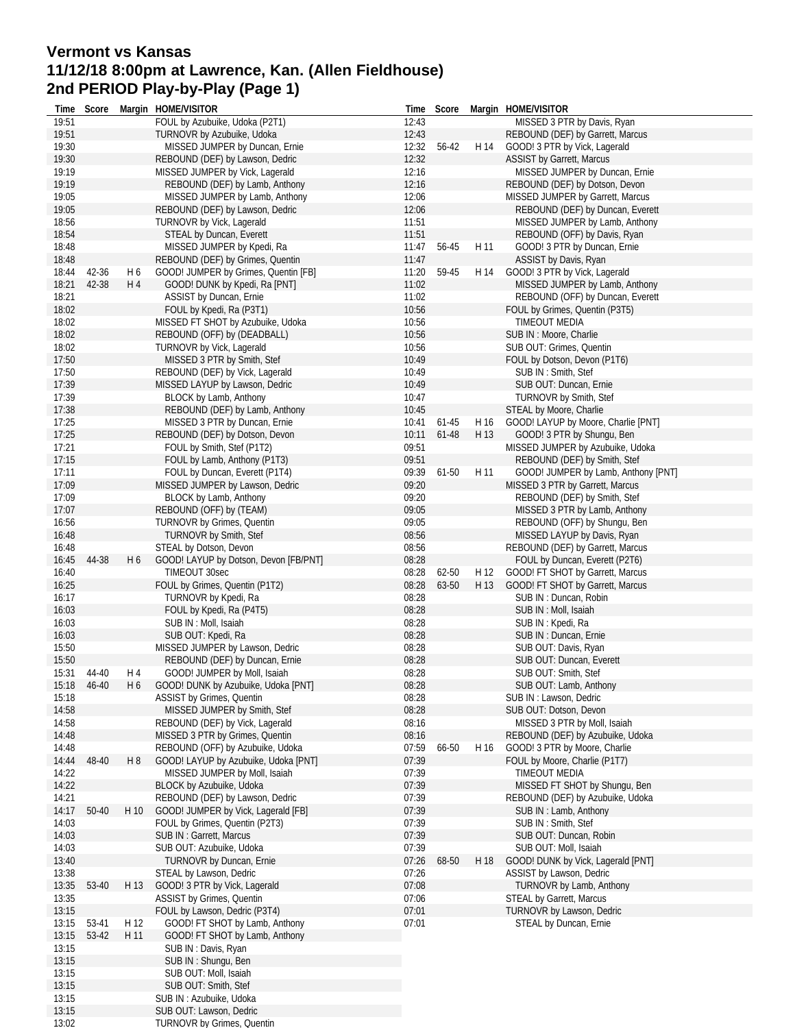# **Vermont vs Kansas 11/12/18 8:00pm at Lawrence, Kan. (Allen Fieldhouse) 2nd PERIOD Play-by-Play (Page 1)**

| Time           | Score          |                | Margin HOME/VISITOR                                           |                | Time Score |      | Margin HOME/VISITOR                             |
|----------------|----------------|----------------|---------------------------------------------------------------|----------------|------------|------|-------------------------------------------------|
| 19:51          |                |                | FOUL by Azubuike, Udoka (P2T1)                                | 12:43          |            |      | MISSED 3 PTR by Davis, Ryan                     |
| 19:51          |                |                | TURNOVR by Azubuike, Udoka                                    | 12:43          |            |      | REBOUND (DEF) by Garrett, Marcus                |
| 19:30          |                |                | MISSED JUMPER by Duncan, Ernie                                | 12:32 56-42    |            | H 14 | GOOD! 3 PTR by Vick, Lagerald                   |
| 19:30          |                |                | REBOUND (DEF) by Lawson, Dedric                               | 12:32          |            |      | <b>ASSIST by Garrett, Marcus</b>                |
| 19:19          |                |                | MISSED JUMPER by Vick, Lagerald                               | 12:16          |            |      | MISSED JUMPER by Duncan, Ernie                  |
| 19:19          |                |                | REBOUND (DEF) by Lamb, Anthony                                | 12:16          |            |      | REBOUND (DEF) by Dotson, Devon                  |
| 19:05          |                |                | MISSED JUMPER by Lamb, Anthony                                | 12:06          |            |      | MISSED JUMPER by Garrett, Marcus                |
| 19:05          |                |                | REBOUND (DEF) by Lawson, Dedric                               | 12:06          |            |      | REBOUND (DEF) by Duncan, Everett                |
| 18:56          |                |                | TURNOVR by Vick, Lagerald                                     | 11:51          |            |      | MISSED JUMPER by Lamb, Anthony                  |
| 18:54          |                |                | STEAL by Duncan, Everett                                      | 11:51          |            |      | REBOUND (OFF) by Davis, Ryan                    |
| 18:48          |                |                | MISSED JUMPER by Kpedi, Ra                                    | 11:47          | 56-45      | H 11 | GOOD! 3 PTR by Duncan, Ernie                    |
| 18:48          |                |                | REBOUND (DEF) by Grimes, Quentin                              | 11:47          |            |      | ASSIST by Davis, Ryan                           |
| 18:44          | 42-36<br>42-38 | H 6            | GOOD! JUMPER by Grimes, Quentin [FB]                          | 11:20          | 59-45      | H 14 | GOOD! 3 PTR by Vick, Lagerald                   |
| 18:21          |                | H 4            | GOOD! DUNK by Kpedi, Ra [PNT]                                 | 11:02          |            |      | MISSED JUMPER by Lamb, Anthony                  |
| 18:21          |                |                | ASSIST by Duncan, Ernie                                       | 11:02          |            |      | REBOUND (OFF) by Duncan, Everett                |
| 18:02<br>18:02 |                |                | FOUL by Kpedi, Ra (P3T1)<br>MISSED FT SHOT by Azubuike, Udoka | 10:56<br>10:56 |            |      | FOUL by Grimes, Quentin (P3T5)<br>TIMEOUT MEDIA |
| 18:02          |                |                | REBOUND (OFF) by (DEADBALL)                                   | 10:56          |            |      | SUB IN : Moore, Charlie                         |
| 18:02          |                |                | TURNOVR by Vick, Lagerald                                     | 10:56          |            |      | SUB OUT: Grimes, Quentin                        |
| 17:50          |                |                | MISSED 3 PTR by Smith, Stef                                   | 10:49          |            |      | FOUL by Dotson, Devon (P1T6)                    |
| 17:50          |                |                | REBOUND (DEF) by Vick, Lagerald                               | 10:49          |            |      | SUB IN: Smith, Stef                             |
| 17:39          |                |                | MISSED LAYUP by Lawson, Dedric                                | 10:49          |            |      | SUB OUT: Duncan, Ernie                          |
| 17:39          |                |                | BLOCK by Lamb, Anthony                                        | 10:47          |            |      | <b>TURNOVR by Smith, Stef</b>                   |
| 17:38          |                |                | REBOUND (DEF) by Lamb, Anthony                                | 10:45          |            |      | STEAL by Moore, Charlie                         |
| 17:25          |                |                | MISSED 3 PTR by Duncan, Ernie                                 | 10:41          | 61-45      | H 16 | GOOD! LAYUP by Moore, Charlie [PNT]             |
| 17:25          |                |                | REBOUND (DEF) by Dotson, Devon                                | 10:11          | 61-48      | H 13 | GOOD! 3 PTR by Shungu, Ben                      |
| 17:21          |                |                | FOUL by Smith, Stef (P1T2)                                    | 09:51          |            |      | MISSED JUMPER by Azubuike, Udoka                |
| 17:15          |                |                | FOUL by Lamb, Anthony (P1T3)                                  | 09:51          |            |      | REBOUND (DEF) by Smith, Stef                    |
| 17:11          |                |                | FOUL by Duncan, Everett (P1T4)                                | 09:39          | 61-50      | H 11 | GOOD! JUMPER by Lamb, Anthony [PNT]             |
| 17:09          |                |                | MISSED JUMPER by Lawson, Dedric                               | 09:20          |            |      | MISSED 3 PTR by Garrett, Marcus                 |
| 17:09          |                |                | BLOCK by Lamb, Anthony                                        | 09:20          |            |      | REBOUND (DEF) by Smith, Stef                    |
| 17:07          |                |                | REBOUND (OFF) by (TEAM)                                       | 09:05          |            |      | MISSED 3 PTR by Lamb, Anthony                   |
| 16:56          |                |                | TURNOVR by Grimes, Quentin                                    | 09:05          |            |      | REBOUND (OFF) by Shungu, Ben                    |
| 16:48          |                |                | TURNOVR by Smith, Stef                                        | 08:56          |            |      | MISSED LAYUP by Davis, Ryan                     |
| 16:48          |                |                | STEAL by Dotson, Devon                                        | 08:56          |            |      | REBOUND (DEF) by Garrett, Marcus                |
| 16:45          | 44-38          | H 6            | GOOD! LAYUP by Dotson, Devon [FB/PNT]                         | 08:28          |            |      | FOUL by Duncan, Everett (P2T6)                  |
| 16:40          |                |                | TIMEOUT 30sec                                                 | 08:28          | 62-50      | H 12 | GOOD! FT SHOT by Garrett, Marcus                |
| 16:25          |                |                | FOUL by Grimes, Quentin (P1T2)                                | 08:28          | 63-50      | H 13 | GOOD! FT SHOT by Garrett, Marcus                |
| 16:17          |                |                | TURNOVR by Kpedi, Ra                                          | 08:28          |            |      | SUB IN: Duncan, Robin                           |
| 16:03          |                |                | FOUL by Kpedi, Ra (P4T5)                                      | 08:28          |            |      | SUB IN: Moll, Isaiah                            |
| 16:03          |                |                | SUB IN : Moll, Isaiah                                         | 08:28          |            |      | SUB IN: Kpedi, Ra                               |
| 16:03          |                |                | SUB OUT: Kpedi, Ra                                            | 08:28          |            |      | SUB IN: Duncan, Ernie                           |
| 15:50          |                |                | MISSED JUMPER by Lawson, Dedric                               | 08:28          |            |      | SUB OUT: Davis, Ryan                            |
| 15:50          |                |                | REBOUND (DEF) by Duncan, Ernie                                | 08:28          |            |      | SUB OUT: Duncan, Everett                        |
| 15:31          | 44-40          | H 4            | GOOD! JUMPER by Moll, Isaiah                                  | 08:28          |            |      | SUB OUT: Smith, Stef                            |
|                | 15:18  46-40   | H 6            | GOOD! DUNK by Azubuike, Udoka [PNT]                           | 08:28          |            |      | SUB OUT: Lamb, Anthony                          |
| 15:18          |                |                | <b>ASSIST by Grimes, Quentin</b>                              | 08:28          |            |      | SUB IN : Lawson, Dedric                         |
| 14:58          |                |                | MISSED JUMPER by Smith, Stef                                  | 08:28          |            |      | SUB OUT: Dotson, Devon                          |
| 14:58          |                |                | REBOUND (DEF) by Vick, Lagerald                               | 08:16          |            |      | MISSED 3 PTR by Moll, Isaiah                    |
| 14:48          |                |                | MISSED 3 PTR by Grimes, Quentin                               | 08:16          |            |      | REBOUND (DEF) by Azubuike, Udoka                |
| 14:48          |                |                | REBOUND (OFF) by Azubuike, Udoka                              | 07:59          | 66-50      | H 16 | GOOD! 3 PTR by Moore, Charlie                   |
| 14:44          | 48-40          | H <sub>8</sub> | GOOD! LAYUP by Azubuike, Udoka [PNT]                          | 07:39          |            |      | FOUL by Moore, Charlie (P1T7)                   |
| 14:22          |                |                | MISSED JUMPER by Moll, Isaiah                                 | 07:39          |            |      | TIMEOUT MEDIA                                   |
| 14:22          |                |                | BLOCK by Azubuike, Udoka                                      | 07:39          |            |      | MISSED FT SHOT by Shungu, Ben                   |
| 14:21          |                |                | REBOUND (DEF) by Lawson, Dedric                               | 07:39          |            |      | REBOUND (DEF) by Azubuike, Udoka                |
| 14:17          | 50-40          | H 10           | GOOD! JUMPER by Vick, Lagerald [FB]                           | 07:39          |            |      | SUB IN: Lamb, Anthony                           |
| 14:03          |                |                | FOUL by Grimes, Quentin (P2T3)                                | 07:39          |            |      | SUB IN: Smith, Stef                             |
| 14:03          |                |                | SUB IN: Garrett, Marcus                                       | 07:39          |            |      | SUB OUT: Duncan, Robin                          |
| 14:03          |                |                | SUB OUT: Azubuike, Udoka                                      | 07:39          |            |      | SUB OUT: Moll, Isaiah                           |
| 13:40          |                |                | TURNOVR by Duncan, Ernie                                      | 07:26          | 68-50      | H 18 | GOOD! DUNK by Vick, Lagerald [PNT]              |
| 13:38          |                |                | STEAL by Lawson, Dedric                                       | 07:26          |            |      | ASSIST by Lawson, Dedric                        |
| 13:35          | 53-40          | H 13           | GOOD! 3 PTR by Vick, Lagerald                                 | 07:08          |            |      | <b>TURNOVR by Lamb, Anthony</b>                 |
| 13:35          |                |                | ASSIST by Grimes, Quentin                                     | 07:06          |            |      | STEAL by Garrett, Marcus                        |
| 13:15          |                |                | FOUL by Lawson, Dedric (P3T4)                                 | 07:01          |            |      | TURNOVR by Lawson, Dedric                       |
| 13:15          | 53-41          | H 12           | GOOD! FT SHOT by Lamb, Anthony                                | 07:01          |            |      | STEAL by Duncan, Ernie                          |
| 13:15          | 53-42          | H 11           | GOOD! FT SHOT by Lamb, Anthony                                |                |            |      |                                                 |
| 13:15          |                |                | SUB IN: Davis, Ryan                                           |                |            |      |                                                 |
| 13:15          |                |                | SUB IN: Shungu, Ben                                           |                |            |      |                                                 |
| 13:15          |                |                | SUB OUT: Moll, Isaiah                                         |                |            |      |                                                 |
| 13:15          |                |                | SUB OUT: Smith, Stef                                          |                |            |      |                                                 |
| 13:15          |                |                | SUB IN: Azubuike, Udoka                                       |                |            |      |                                                 |
| 13:15          |                |                | SUB OUT: Lawson, Dedric                                       |                |            |      |                                                 |
| 13:02          |                |                | <b>TURNOVR by Grimes, Quentin</b>                             |                |            |      |                                                 |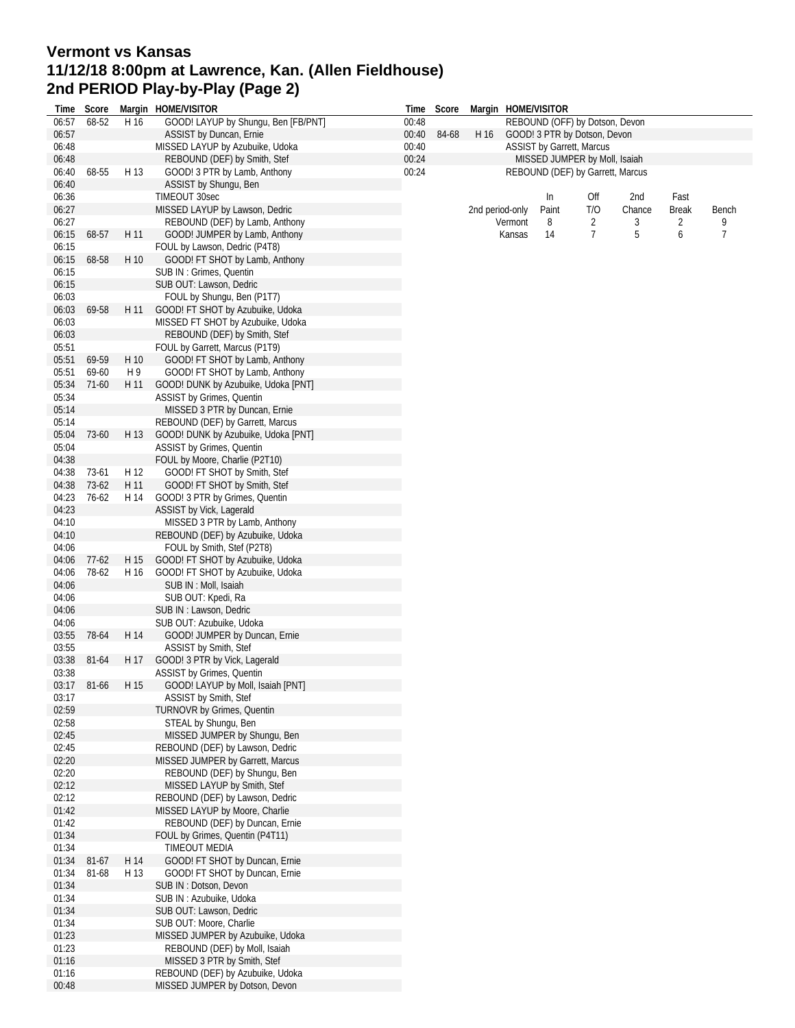# **Vermont vs Kansas 11/12/18 8:00pm at Lawrence, Kan. (Allen Fieldhouse) 2nd PERIOD Play-by-Play (Page 2)**

|                |         |      | Time Score Margin HOME/VISITOR                                    |       | Time Score |                 |         | Margin HOME/VISITOR              |     |        |              |       |
|----------------|---------|------|-------------------------------------------------------------------|-------|------------|-----------------|---------|----------------------------------|-----|--------|--------------|-------|
| 06:57          | 68-52   | H 16 | GOOD! LAYUP by Shungu, Ben [FB/PNT]                               | 00:48 |            |                 |         | REBOUND (OFF) by Dotson, Devon   |     |        |              |       |
| 06:57          |         |      | ASSIST by Duncan, Ernie                                           | 00:40 | 84-68      | H 16            |         | GOOD! 3 PTR by Dotson, Devon     |     |        |              |       |
| 06:48          |         |      | MISSED LAYUP by Azubuike, Udoka                                   | 00:40 |            |                 |         | ASSIST by Garrett, Marcus        |     |        |              |       |
| 06:48          |         |      | REBOUND (DEF) by Smith, Stef                                      | 00:24 |            |                 |         | MISSED JUMPER by Moll, Isaiah    |     |        |              |       |
| 06:40          | 68-55   | H 13 | GOOD! 3 PTR by Lamb, Anthony                                      | 00:24 |            |                 |         | REBOUND (DEF) by Garrett, Marcus |     |        |              |       |
| 06:40          |         |      | ASSIST by Shungu, Ben                                             |       |            |                 |         |                                  |     |        |              |       |
| 06:36          |         |      | TIMEOUT 30sec                                                     |       |            |                 |         | In                               | Off | 2nd    | Fast         |       |
| 06:27          |         |      | MISSED LAYUP by Lawson, Dedric                                    |       |            | 2nd period-only |         | Paint                            | T/O | Chance | <b>Break</b> | Bench |
| 06:27          |         |      | REBOUND (DEF) by Lamb, Anthony                                    |       |            |                 | Vermont | 8                                | 2   | 3      | 2            | 9     |
| 06:15          | 68-57   | H 11 | GOOD! JUMPER by Lamb, Anthony                                     |       |            |                 | Kansas  | 14                               | 7   | 5      | 6            | 7     |
| 06:15          |         |      | FOUL by Lawson, Dedric (P4T8)                                     |       |            |                 |         |                                  |     |        |              |       |
| 06:15          | 68-58   | H 10 | GOOD! FT SHOT by Lamb, Anthony                                    |       |            |                 |         |                                  |     |        |              |       |
| 06:15          |         |      | SUB IN: Grimes, Quentin                                           |       |            |                 |         |                                  |     |        |              |       |
| 06:15          |         |      | SUB OUT: Lawson, Dedric                                           |       |            |                 |         |                                  |     |        |              |       |
| 06:03<br>06:03 | 69-58   | H 11 | FOUL by Shungu, Ben (P1T7)                                        |       |            |                 |         |                                  |     |        |              |       |
|                |         |      | GOOD! FT SHOT by Azubuike, Udoka                                  |       |            |                 |         |                                  |     |        |              |       |
| 06:03<br>06:03 |         |      | MISSED FT SHOT by Azubuike, Udoka<br>REBOUND (DEF) by Smith, Stef |       |            |                 |         |                                  |     |        |              |       |
| 05:51          |         |      | FOUL by Garrett, Marcus (P1T9)                                    |       |            |                 |         |                                  |     |        |              |       |
| 05:51          | 69-59   | H 10 | GOOD! FT SHOT by Lamb, Anthony                                    |       |            |                 |         |                                  |     |        |              |       |
| 05:51          | 69-60   | H 9  | GOOD! FT SHOT by Lamb, Anthony                                    |       |            |                 |         |                                  |     |        |              |       |
| 05:34          | $71-60$ | H 11 | GOOD! DUNK by Azubuike, Udoka [PNT]                               |       |            |                 |         |                                  |     |        |              |       |
| 05:34          |         |      | ASSIST by Grimes, Quentin                                         |       |            |                 |         |                                  |     |        |              |       |
| 05:14          |         |      | MISSED 3 PTR by Duncan, Ernie                                     |       |            |                 |         |                                  |     |        |              |       |
| 05:14          |         |      | REBOUND (DEF) by Garrett, Marcus                                  |       |            |                 |         |                                  |     |        |              |       |
| 05:04          | 73-60   | H 13 | GOOD! DUNK by Azubuike, Udoka [PNT]                               |       |            |                 |         |                                  |     |        |              |       |
| 05:04          |         |      | <b>ASSIST by Grimes, Quentin</b>                                  |       |            |                 |         |                                  |     |        |              |       |
| 04:38          |         |      | FOUL by Moore, Charlie (P2T10)                                    |       |            |                 |         |                                  |     |        |              |       |
| 04:38          | 73-61   | H 12 | GOOD! FT SHOT by Smith, Stef                                      |       |            |                 |         |                                  |     |        |              |       |
| 04:38          | 73-62   | H 11 | GOOD! FT SHOT by Smith, Stef                                      |       |            |                 |         |                                  |     |        |              |       |
| 04:23          | 76-62   | H 14 | GOOD! 3 PTR by Grimes, Quentin                                    |       |            |                 |         |                                  |     |        |              |       |
| 04:23          |         |      | ASSIST by Vick, Lagerald                                          |       |            |                 |         |                                  |     |        |              |       |
| 04:10          |         |      | MISSED 3 PTR by Lamb, Anthony                                     |       |            |                 |         |                                  |     |        |              |       |
| 04:10          |         |      | REBOUND (DEF) by Azubuike, Udoka                                  |       |            |                 |         |                                  |     |        |              |       |
| 04:06          |         |      | FOUL by Smith, Stef (P2T8)                                        |       |            |                 |         |                                  |     |        |              |       |
| 04:06          | $77-62$ | H 15 | GOOD! FT SHOT by Azubuike, Udoka                                  |       |            |                 |         |                                  |     |        |              |       |
| 04:06          | 78-62   | H 16 | GOOD! FT SHOT by Azubuike, Udoka                                  |       |            |                 |         |                                  |     |        |              |       |
| 04:06          |         |      | SUB IN : Moll, Isaiah                                             |       |            |                 |         |                                  |     |        |              |       |
| 04:06          |         |      | SUB OUT: Kpedi, Ra                                                |       |            |                 |         |                                  |     |        |              |       |
| 04:06          |         |      | SUB IN : Lawson, Dedric                                           |       |            |                 |         |                                  |     |        |              |       |
| 04:06<br>03:55 | 78-64   | H 14 | SUB OUT: Azubuike, Udoka                                          |       |            |                 |         |                                  |     |        |              |       |
| 03:55          |         |      | GOOD! JUMPER by Duncan, Ernie<br>ASSIST by Smith, Stef            |       |            |                 |         |                                  |     |        |              |       |
| 03:38          | 81-64   | H 17 | GOOD! 3 PTR by Vick, Lagerald                                     |       |            |                 |         |                                  |     |        |              |       |
| 03:38          |         |      | <b>ASSIST by Grimes, Quentin</b>                                  |       |            |                 |         |                                  |     |        |              |       |
| 03:17          | 81-66   |      | H 15 GOOD! LAYUP by Moll, Isaiah [PNT]                            |       |            |                 |         |                                  |     |        |              |       |
| 03:17          |         |      | ASSIST by Smith, Stef                                             |       |            |                 |         |                                  |     |        |              |       |
| 02:59          |         |      | <b>TURNOVR by Grimes, Quentin</b>                                 |       |            |                 |         |                                  |     |        |              |       |
| 02:58          |         |      | STEAL by Shungu, Ben                                              |       |            |                 |         |                                  |     |        |              |       |
| 02:45          |         |      | MISSED JUMPER by Shungu, Ben                                      |       |            |                 |         |                                  |     |        |              |       |
| 02:45          |         |      | REBOUND (DEF) by Lawson, Dedric                                   |       |            |                 |         |                                  |     |        |              |       |
| 02:20          |         |      | MISSED JUMPER by Garrett, Marcus                                  |       |            |                 |         |                                  |     |        |              |       |
| 02:20          |         |      | REBOUND (DEF) by Shungu, Ben                                      |       |            |                 |         |                                  |     |        |              |       |
| 02:12          |         |      | MISSED LAYUP by Smith, Stef                                       |       |            |                 |         |                                  |     |        |              |       |
| 02:12<br>01:42 |         |      | REBOUND (DEF) by Lawson, Dedric<br>MISSED LAYUP by Moore, Charlie |       |            |                 |         |                                  |     |        |              |       |
| 01:42          |         |      | REBOUND (DEF) by Duncan, Ernie                                    |       |            |                 |         |                                  |     |        |              |       |
| 01:34          |         |      | FOUL by Grimes, Quentin (P4T11)                                   |       |            |                 |         |                                  |     |        |              |       |
| 01:34          |         |      | TIMEOUT MEDIA                                                     |       |            |                 |         |                                  |     |        |              |       |
| 01:34          | 81-67   | H 14 | GOOD! FT SHOT by Duncan, Ernie                                    |       |            |                 |         |                                  |     |        |              |       |
| 01:34          | 81-68   | H 13 | GOOD! FT SHOT by Duncan, Ernie                                    |       |            |                 |         |                                  |     |        |              |       |
| 01:34          |         |      | SUB IN: Dotson, Devon                                             |       |            |                 |         |                                  |     |        |              |       |
| 01:34          |         |      | SUB IN: Azubuike, Udoka                                           |       |            |                 |         |                                  |     |        |              |       |
| 01:34          |         |      | SUB OUT: Lawson, Dedric                                           |       |            |                 |         |                                  |     |        |              |       |
| 01:34          |         |      | SUB OUT: Moore, Charlie                                           |       |            |                 |         |                                  |     |        |              |       |
| 01:23          |         |      | MISSED JUMPER by Azubuike, Udoka                                  |       |            |                 |         |                                  |     |        |              |       |
| 01:23          |         |      | REBOUND (DEF) by Moll, Isaiah                                     |       |            |                 |         |                                  |     |        |              |       |
| 01:16          |         |      | MISSED 3 PTR by Smith, Stef                                       |       |            |                 |         |                                  |     |        |              |       |
| 01:16          |         |      | REBOUND (DEF) by Azubuike, Udoka                                  |       |            |                 |         |                                  |     |        |              |       |
| 00:48          |         |      | MISSED JUMPER by Dotson, Devon                                    |       |            |                 |         |                                  |     |        |              |       |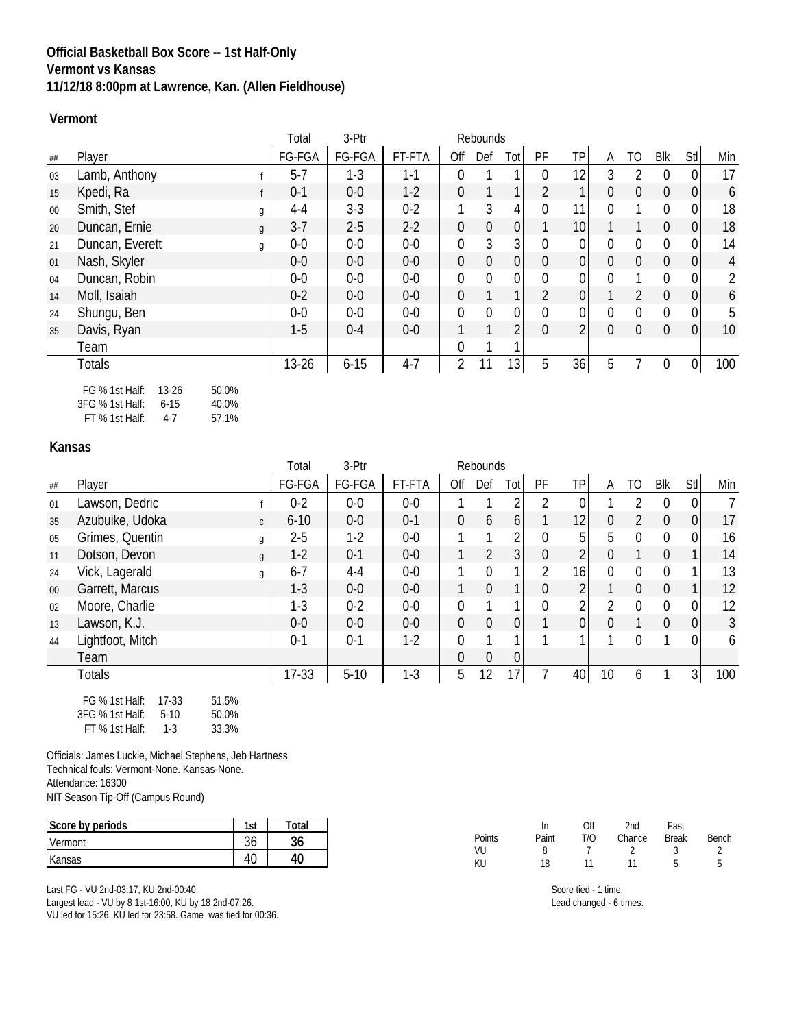## **Official Basketball Box Score -- 1st Half-Only Vermont vs Kansas 11/12/18 8:00pm at Lawrence, Kan. (Allen Fieldhouse)**

#### **Vermont**

|        |                                                  | Total     | 3-Ptr    |         |                | Rebounds     |                 |                |                |          |                |                |                |                |
|--------|--------------------------------------------------|-----------|----------|---------|----------------|--------------|-----------------|----------------|----------------|----------|----------------|----------------|----------------|----------------|
| ##     | Player                                           | FG-FGA    | FG-FGA   | FT-FTA  | Off            | Def          | Tot             | PF             | TP             | A        | TO             | Blk            | Stl            | Min            |
| 03     | Lamb, Anthony                                    | $5 - 7$   | $1-3$    | $1 - 1$ | $\Omega$       |              |                 | $\Omega$       | 12             | 3        | $\overline{2}$ | $\Omega$       | 0              | 17             |
| 15     | Kpedi, Ra                                        | $0 - 1$   | $0-0$    | $1-2$   | $\overline{0}$ | $\mathbf{1}$ |                 | $\overline{2}$ |                | $\Omega$ | $\mathbf{0}$   | $\overline{0}$ | 0              | 6              |
| $00\,$ | Smith, Stef<br>g                                 | $4 - 4$   | $3 - 3$  | $0 - 2$ |                | 3            | 4               | $\mathbf 0$    | 11             | $\Omega$ |                | 0              | 0              | 18             |
| 20     | Duncan, Ernie<br>g                               | $3 - 7$   | $2 - 5$  | $2-2$   | $\overline{0}$ | $\theta$     | 0               |                | 10             |          |                | $\overline{0}$ | $\overline{0}$ | 18             |
| 21     | Duncan, Everett<br>g                             | $0-0$     | $0-0$    | $0-0$   | $\mathbf 0$    | 3            | 3 <sup>1</sup>  | $\mathbf 0$    | 0              | 0        | $\mathbf 0$    | $\Omega$       | 0              | 14             |
| 01     | Nash, Skyler                                     | $0-0$     | $0-0$    | $0-0$   | $\overline{0}$ | $\theta$     | 0               | $\mathbf{0}$   | 0              | $\Omega$ | $\overline{0}$ | $\overline{0}$ | $\overline{0}$ | $\overline{4}$ |
| 04     | Duncan, Robin                                    | $0-0$     | $0-0$    | $0-0$   | $\mathbf{0}$   | $\mathbf{0}$ | $\Omega$        | $\mathbf 0$    | 0              | $\Omega$ |                | $\Omega$       | 0              | $\overline{2}$ |
| 14     | Moll, Isaiah                                     | $0 - 2$   | $0-0$    | $0-0$   | $\overline{0}$ |              |                 | $\overline{2}$ | 0              |          | $\overline{2}$ | $\overline{0}$ | $\overline{0}$ | 6              |
| 24     | Shungu, Ben                                      | $0-0$     | $0-0$    | $0-0$   | $\mathbf{0}$   | $\mathbf{0}$ | $\overline{0}$  | $\mathbf{0}$   | $\overline{0}$ | $\Omega$ | $\mathbf{0}$   | $\Omega$       | $\overline{0}$ | 5              |
| 35     | Davis, Ryan                                      | $1-5$     | $0 - 4$  | $0-0$   |                |              | 2               | $\mathbf{0}$   | $\overline{2}$ | 0        | $\overline{0}$ | $\overline{0}$ | $\overline{0}$ | 10             |
|        | Team                                             |           |          |         | $\Omega$       |              |                 |                |                |          |                |                |                |                |
|        | <b>Totals</b>                                    | $13 - 26$ | $6 - 15$ | $4 - 7$ | 2              | 11           | 13 <sub>l</sub> | 5              | 36             | 5        |                | $\mathbf{0}$   | 0              | 100            |
|        | $13 - 26$<br>50.0%<br>FG % 1st Half:<br>$\cdots$ |           |          |         |                |              |                 |                |                |          |                |                |                |                |

3FG % 1st Half: 6-15 40.0% FT % 1st Half: 4-7 57.1%

#### **Kansas**

|        |                                    | Total    | 3-Ptr   |         |                | Rebounds       |                 |                |                 |                |                |                |                  |     |
|--------|------------------------------------|----------|---------|---------|----------------|----------------|-----------------|----------------|-----------------|----------------|----------------|----------------|------------------|-----|
| ##     | Player                             | FG-FGA   | FG-FGA  | FT-FTA  | Off            | Def            | Totl            | PF             | TP              | A              | TO.            | Blk            | Stl              | Min |
| 01     | Lawson, Dedric                     | $0 - 2$  | $0-0$   | $0-0$   |                |                |                 |                | $\Omega$        |                |                | $\Omega$       | $\boldsymbol{0}$ | 7   |
| 35     | Azubuike, Udoka<br>$\mathsf{C}$    | $6 - 10$ | $0-0$   | $0 - 1$ | $\overline{0}$ | 6              | 6 <sup>1</sup>  |                | 12 <sub>1</sub> | $\overline{0}$ | $\overline{2}$ | $\overline{0}$ | $\mathbf 0$      | 17  |
| 05     | Grimes, Quentin<br>g               | $2 - 5$  | $1-2$   | $0-0$   |                | 1              | 2               | $\mathbf{0}$   | 5               | 5              | $\Omega$       | $\Omega$       | 0                | 16  |
| 11     | Dotson, Devon<br>$\mathfrak{g}$    | $1 - 2$  | $0 - 1$ | $0-0$   |                | $\overline{2}$ | 3 <sup>1</sup>  | $\mathbf 0$    | $\overline{2}$  | $\theta$       |                | $\overline{0}$ | 1                | 14  |
| 24     | Vick, Lagerald<br>g                | $6 - 7$  | $4 - 4$ | $0-0$   | 1              | $\mathbf{0}$   |                 | $\overline{2}$ | 16              | $\Omega$       | $\mathbf{0}$   | $\Omega$       | 1                | 13  |
| $00\,$ | Garrett, Marcus                    | $1 - 3$  | $0-0$   | $0-0$   |                | $\overline{0}$ |                 | $\mathbf 0$    | 2               |                | $\theta$       | $\overline{0}$ |                  | 12  |
| 02     | Moore, Charlie                     | $1-3$    | $0 - 2$ | $0-0$   | $\mathbf 0$    |                |                 | $\mathbf{0}$   | $\overline{2}$  | $\mathcal{P}$  | $\mathbf{0}$   | $\Omega$       | 0                | 12  |
| 13     | Lawson, K.J.                       | $0-0$    | $0-0$   | $0-0$   | $\overline{0}$ | $\overline{0}$ | 0               |                | $\overline{0}$  | $\Omega$       |                | $\overline{0}$ | $\boldsymbol{0}$ | 3   |
| 44     | Lightfoot, Mitch                   | $0 - 1$  | $0 - 1$ | $1-2$   | $\mathbf 0$    | 1              |                 |                |                 |                | $\Omega$       |                | $\theta$         | 6   |
|        | Team                               |          |         |         | $\overline{0}$ | $\theta$       | 0               |                |                 |                |                |                |                  |     |
|        | <b>Totals</b>                      | $17-33$  | $5-10$  | $1-3$   | 5              | 12             | 17 <sub>1</sub> |                | 40              | 10             | 6              |                | 3                | 100 |
|        | $17-33$<br>51.5%<br>FG % 1st Half: |          |         |         |                |                |                 |                |                 |                |                |                |                  |     |
|        | 3FG % 1st Half:<br>$5-10$<br>50.0% |          |         |         |                |                |                 |                |                 |                |                |                |                  |     |

| FT % 1st Half: | $1-3$ | 33.3% |
|----------------|-------|-------|

Officials: James Luckie, Michael Stephens, Jeb Hartness Technical fouls: Vermont-None. Kansas-None. Attendance: 16300 NIT Season Tip-Off (Campus Round)

| Score by periods | 1st | Total        |          | In       | Off | 2nd    | Fast         |       |
|------------------|-----|--------------|----------|----------|-----|--------|--------------|-------|
| Vermont          | 36  | $\sim$<br>აი | Points   | Paint    | T/O | Chance | <b>Break</b> | Bench |
| Kansas           | 40  | 40           | VU<br>KU | 10<br>ιu |     |        |              |       |

Last FG - VU 2nd-03:17, KU 2nd-00:40. Largest lead - VU by 8 1st-16:00, KU by 18 2nd-07:26. VU led for 15:26. KU led for 23:58. Game was tied for 00:36. Score tied - 1 time. Lead changed - 6 times.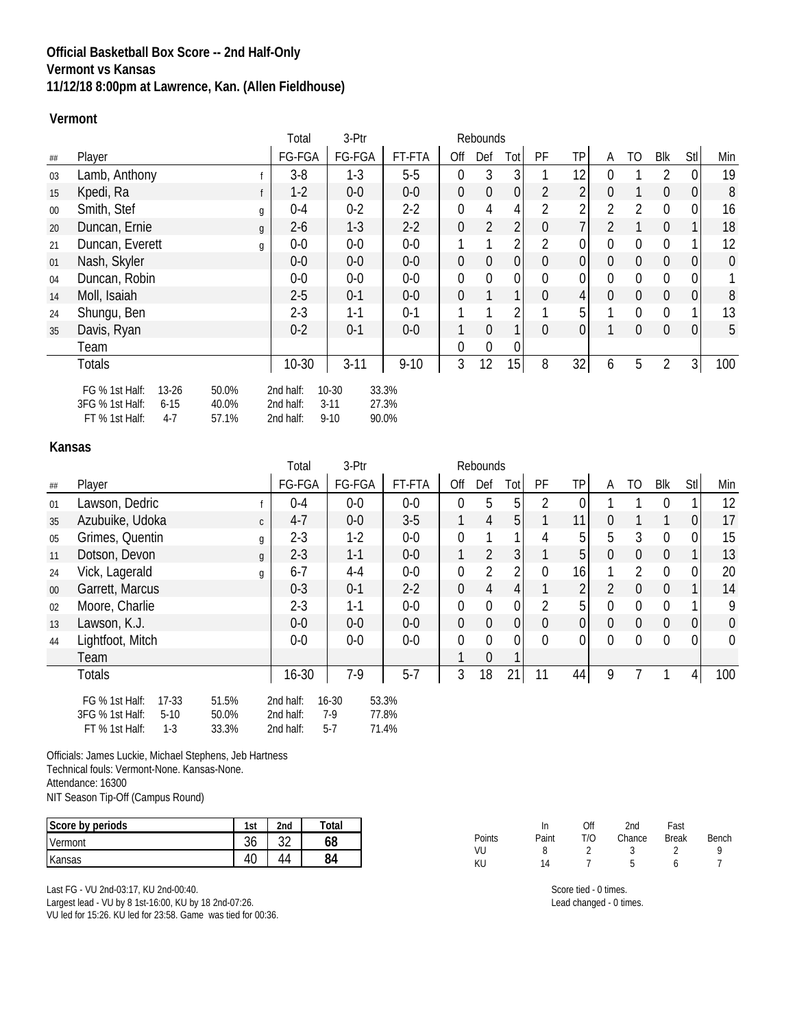## **Official Basketball Box Score -- 2nd Half-Only Vermont vs Kansas 11/12/18 8:00pm at Lawrence, Kan. (Allen Fieldhouse)**

#### **Vermont**

|        |                                      |   | Total     | 3-Ptr    |          |                | Rebounds       |                  |                |                 |                |                  |                  |                  |           |
|--------|--------------------------------------|---|-----------|----------|----------|----------------|----------------|------------------|----------------|-----------------|----------------|------------------|------------------|------------------|-----------|
| ##     | Player                               |   | FG-FGA    | FG-FGA   | FT-FTA   | Off            | Def            | Tot <sub>1</sub> | PF             | <b>TP</b>       | A              | TO               | <b>Blk</b>       | Stl              | Min       |
| 03     | Lamb, Anthony                        |   | $3-8$     | $1-3$    | $5-5$    | $\Omega$       | 3              | 3                |                | 12              | U              |                  | $\mathfrak{D}$   | $\mathbf 0$      | 19        |
| 15     | Kpedi, Ra                            |   | $1 - 2$   | $0-0$    | $0-0$    | $\overline{0}$ | $\theta$       | 0                | 2              | $\overline{2}$  | 0              |                  | $\mathbf 0$      | $\boldsymbol{0}$ | 8         |
| $00\,$ | Smith, Stef                          | g | $0 - 4$   | $0 - 2$  | $2-2$    | $\overline{0}$ | 4              | 4                | $\overline{2}$ | 2               | $\overline{2}$ | $\overline{2}$   | $\overline{0}$   | $\boldsymbol{0}$ | 16        |
| 20     | Duncan, Ernie                        | g | $2 - 6$   | $1 - 3$  | $2-2$    | $\mathbf 0$    | $\overline{2}$ | 2                | $\mathbf 0$    | $\overline{7}$  | $\overline{2}$ |                  | $\overline{0}$   | $\mathbf{1}$     | 18        |
| 21     | Duncan, Everett                      | g | $0-0$     | $0-0$    | $0-0$    |                |                | 2                | 2              | 0               | 0              | 0                | 0                | 1                | 12        |
| 01     | Nash, Skyler                         |   | $0-0$     | $0-0$    | $0-0$    | $\mathbf 0$    | $\mathbf 0$    | $\mathbf 0$      | $\mathbf 0$    | $\overline{0}$  | 0              | $\boldsymbol{0}$ | $\overline{0}$   | $\overline{0}$   | $\pmb{0}$ |
| 04     | Duncan, Robin                        |   | $0-0$     | $0-0$    | $0-0$    | $\mathbf 0$    | $\mathbf{0}$   | 0                | $\mathbf 0$    | 0               | 0              | $\mathbf 0$      | 0                | $\boldsymbol{0}$ | 1         |
| 14     | Moll, Isaiah                         |   | $2 - 5$   | $0 - 1$  | $0-0$    | $\overline{0}$ |                |                  | $\mathbf 0$    | $\vert 4 \vert$ | 0              | $\mathbf 0$      | $\overline{0}$   | $\overline{0}$   | 8         |
| 24     | Shungu, Ben                          |   | $2 - 3$   | $1 - 1$  | $0 - 1$  |                |                | 2                |                | 5 <sup>1</sup>  |                | $\mathbf 0$      | $\Omega$         | 1                | 13        |
| 35     | Davis, Ryan                          |   | $0 - 2$   | $0 - 1$  | $0-0$    | 1              | $\theta$       | 1                | $\overline{0}$ | $\overline{0}$  |                | $\mathbf 0$      | $\boldsymbol{0}$ | $\overline{0}$   | 5         |
|        | Team                                 |   |           |          |          | $\Omega$       | $\mathbf 0$    | 0                |                |                 |                |                  |                  |                  |           |
|        | <b>Totals</b>                        |   | $10-30$   | $3 - 11$ | $9 - 10$ | 3              | 12             | 15               | 8              | 32              | 6              | 5                | 2                | 3                | 100       |
|        | FG % 1st Half:<br>$13-26$<br>50.0%   |   | 2nd half: | $10-30$  | 33.3%    |                |                |                  |                |                 |                |                  |                  |                  |           |
|        | 3FG % 1st Half:<br>40.0%<br>$6 - 15$ |   | 2nd half: | $3 - 11$ | 27.3%    |                |                |                  |                |                 |                |                  |                  |                  |           |
|        | FT % 1st Half:<br>$4-7$<br>57.1%     |   | 2nd half: | $9 - 10$ | 90.0%    |                |                |                  |                |                 |                |                  |                  |                  |           |

### **Kansas**

|        |                                                                                                              | Total                               | 3-Ptr                     |                         |                | Rebounds       |                  |                |                |                |                |                |              |             |
|--------|--------------------------------------------------------------------------------------------------------------|-------------------------------------|---------------------------|-------------------------|----------------|----------------|------------------|----------------|----------------|----------------|----------------|----------------|--------------|-------------|
| ##     | Player                                                                                                       | FG-FGA                              | FG-FGA                    | FT-FTA                  | Off            | Def            | Tot              | PF             | <b>TP</b>      | A              | TO             | <b>Blk</b>     | Stl          | Min         |
| 01     | Lawson, Dedric                                                                                               | $0 - 4$                             | $0-0$                     | $0-0$                   | $\Omega$       | 5              | 5                | 2              |                |                |                |                |              | 12          |
| 35     | Azubuike, Udoka<br>$\mathsf{C}$                                                                              | $4 - 7$                             | $0-0$                     | $3-5$                   | $\mathbf{1}$   | $\overline{4}$ | 5 <sup>1</sup>   |                | 11             | $\Omega$       |                |                | 0            | 17          |
| 05     | Grimes, Quentin<br>g                                                                                         | $2 - 3$                             | $1-2$                     | $0-0$                   | $\Omega$       |                |                  | 4              | 5              | 5              | 3              | $\Omega$       | 0            | 15          |
| 11     | Dotson, Devon<br>$\mathfrak{g}$                                                                              | $2 - 3$                             | $1 - 1$                   | $0-0$                   | 1              | $\overline{2}$ | 3 <sup>1</sup>   |                | 5 <sup>1</sup> | 0              | $\mathbf 0$    | $\overline{0}$ | $\mathbf{1}$ | 13          |
| 24     | Vick, Lagerald<br>g                                                                                          | $6 - 7$                             | $4 - 4$                   | $0-0$                   | $\overline{0}$ | $\overline{2}$ | 2                | $\overline{0}$ | 16             |                | 2              | 0              | 0            | 20          |
| $00\,$ | Garrett, Marcus                                                                                              | $0 - 3$                             | $0 - 1$                   | $2 - 2$                 | $\overline{0}$ | $\overline{4}$ | 4                |                | $\overline{2}$ | $\overline{2}$ | $\overline{0}$ | $\Omega$       |              | 14          |
| 02     | Moore, Charlie                                                                                               | $2 - 3$                             | $1 - 1$                   | $0-0$                   | $\overline{0}$ | $\overline{0}$ | 0                | $\overline{2}$ | 5              | 0              | $\mathbf 0$    | 0              |              | 9           |
| 13     | Lawson, K.J.                                                                                                 | $0-0$                               | $0-0$                     | $0-0$                   | $\theta$       | $\mathbf 0$    | $\boldsymbol{0}$ | $\mathbf 0$    | 0              | 0              | $\mathbf 0$    | $\overline{0}$ | 0            | $\pmb{0}$   |
| 44     | Lightfoot, Mitch                                                                                             | $0-0$                               | $0-0$                     | $0-0$                   | $\overline{0}$ | $\mathbf{0}$   | 0                | $\mathbf{0}$   | 0              | $\Omega$       | $\overline{0}$ | $\Omega$       | $\mathbf 0$  | $\mathbf 0$ |
|        | Team                                                                                                         |                                     |                           |                         |                | $\Omega$       |                  |                |                |                |                |                |              |             |
|        | <b>Totals</b>                                                                                                | $16 - 30$                           | $7-9$                     | $5 - 7$                 | 3              | 18             | 21               | 11             | 44             | 9              |                |                | 4            | 100         |
|        | FG % 1st Half:<br>$17-33$<br>51.5%<br>3FG % 1st Half:<br>$5-10$<br>50.0%<br>FT % 1st Half:<br>$1-3$<br>33.3% | 2nd half:<br>2nd half:<br>2nd half: | $16 - 30$<br>7-9<br>$5-7$ | 53.3%<br>77.8%<br>71.4% |                |                |                  |                |                |                |                |                |              |             |

Officials: James Luckie, Michael Stephens, Jeb Hartness Technical fouls: Vermont-None. Kansas-None. Attendance: 16300 NIT Season Tip-Off (Campus Round)

| Score by periods | 1st          | 2 <sub>nd</sub> | Total |
|------------------|--------------|-----------------|-------|
| Vermont          | $\sim$<br>30 | ົາ              | 68    |
| Kansas           | -4u          |                 | 84    |

Last FG - VU 2nd-03:17, KU 2nd-00:40.

Largest lead - VU by 8 1st-16:00, KU by 18 2nd-07:26.

VU led for 15:26. KU led for 23:58. Game was tied for 00:36.

|        | In    | Off | 2nd    | Fast         |       |
|--------|-------|-----|--------|--------------|-------|
| Points | Paint | T/O | Chance | <b>Break</b> | Bench |
| VU     | 8     |     | ર      |              | Q     |
| KU     | 14    |     | b      | h            |       |

Score tied - 0 times. Lead changed - 0 times.